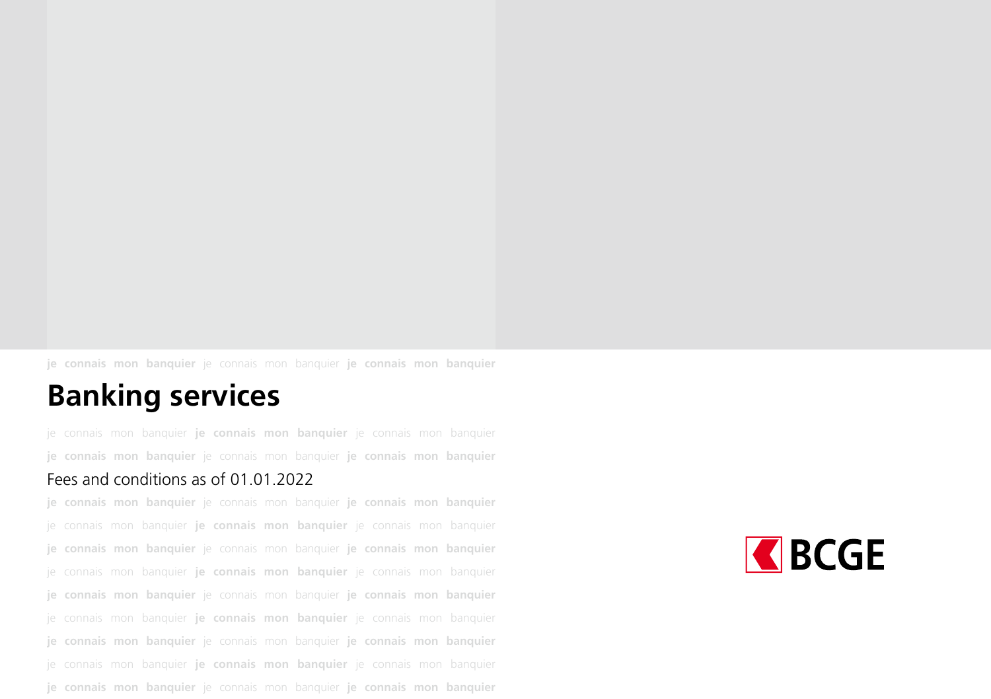**je connais mon banquier** je connais mon banquier **je connais mon banquier**

#### **Banking services**

je connais mon banquier **je connais mon banquier** je connais mon banquier **je connais mon banquier** je connais mon banquier **je connais mon banquier**

#### Fees and conditions as of 01.01.2022

**je connais mon banquier** je connais mon banquier **je connais mon banquier** je connais mon banquier **je connais mon banquier** je connais mon banquier **je connais mon banquier** je connais mon banquier **je connais mon banquier** je connais mon banquier **je connais mon banquier** je connais mon banquier **je connais mon banquier** je connais mon banquier **je connais mon banquier** je connais mon banquier **je connais mon banquier** je connais mon banquier **je connais mon banquier** je connais mon banquier **je connais mon banquier** je connais mon banquier **je connais mon banquier** je connais mon banquier **je connais mon banquier** je connais mon banquier **je connais mon banquier**

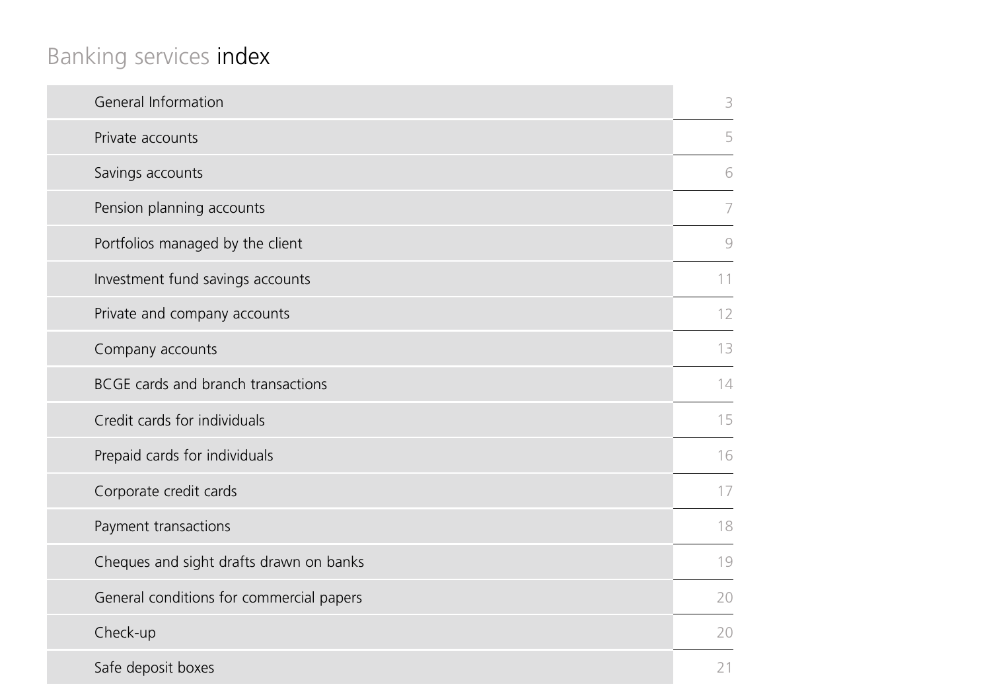# Banking services index

| General Information                      | 3  |
|------------------------------------------|----|
| Private accounts                         | 5  |
| Savings accounts                         | 6  |
| Pension planning accounts                | 7  |
| Portfolios managed by the client         | 9  |
| Investment fund savings accounts         | 11 |
| Private and company accounts             | 12 |
| Company accounts                         | 13 |
| BCGE cards and branch transactions       | 14 |
| Credit cards for individuals             | 15 |
| Prepaid cards for individuals            | 16 |
| Corporate credit cards                   | 17 |
| Payment transactions                     | 18 |
| Cheques and sight drafts drawn on banks  | 19 |
| General conditions for commercial papers | 20 |
| Check-up                                 | 20 |
| Safe deposit boxes                       | 21 |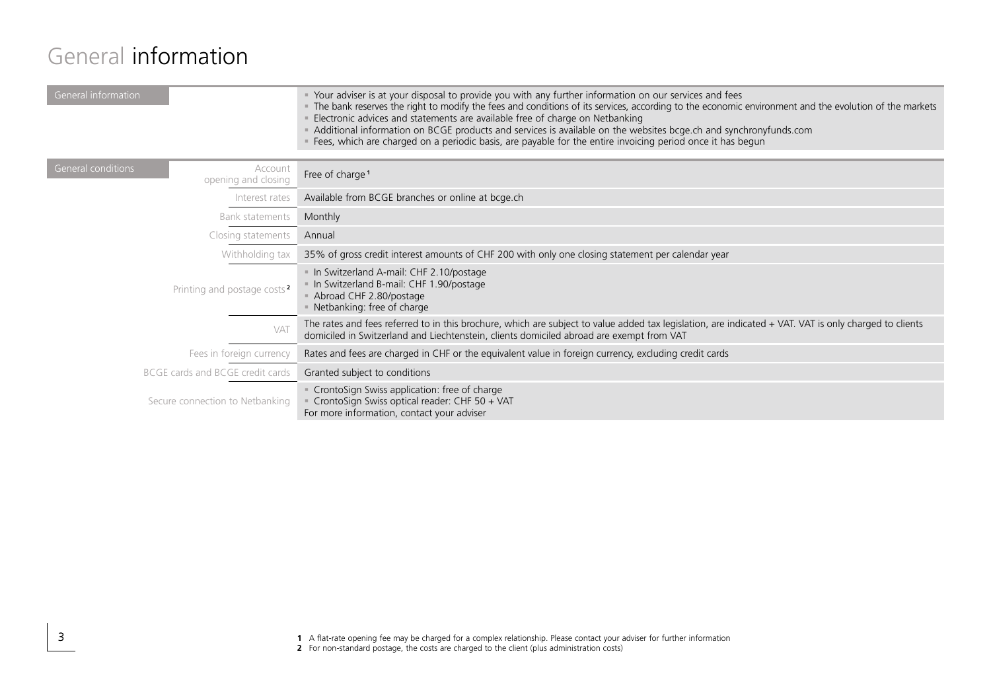#### General information

| General information                                  | >> Your adviser is at your disposal to provide you with any further information on our services and fees<br>The bank reserves the right to modify the fees and conditions of its services, according to the economic environment and the evolution of the markets<br>Electronic advices and statements are available free of charge on Netbanking<br>Additional information on BCGE products and services is available on the websites bcge.ch and synchronyfunds.com<br>Fees, which are charged on a periodic basis, are payable for the entire invoicing period once it has begun |
|------------------------------------------------------|-------------------------------------------------------------------------------------------------------------------------------------------------------------------------------------------------------------------------------------------------------------------------------------------------------------------------------------------------------------------------------------------------------------------------------------------------------------------------------------------------------------------------------------------------------------------------------------|
| General conditions<br>Account<br>opening and closing | Free of charge <sup>1</sup>                                                                                                                                                                                                                                                                                                                                                                                                                                                                                                                                                         |
| Interest rates                                       | Available from BCGE branches or online at bcge.ch                                                                                                                                                                                                                                                                                                                                                                                                                                                                                                                                   |
| Bank statements                                      | Monthly                                                                                                                                                                                                                                                                                                                                                                                                                                                                                                                                                                             |
| Closing statements                                   | Annual                                                                                                                                                                                                                                                                                                                                                                                                                                                                                                                                                                              |
| Withholding tax                                      | 35% of gross credit interest amounts of CHF 200 with only one closing statement per calendar year                                                                                                                                                                                                                                                                                                                                                                                                                                                                                   |
| Printing and postage costs <sup>2</sup>              | In Switzerland A-mail: CHF 2.10/postage<br>In Switzerland B-mail: CHF 1.90/postage<br>Abroad CHF 2.80/postage<br>• Netbanking: free of charge                                                                                                                                                                                                                                                                                                                                                                                                                                       |
| VAT                                                  | The rates and fees referred to in this brochure, which are subject to value added tax legislation, are indicated + VAT. VAT is only charged to clients<br>domiciled in Switzerland and Liechtenstein, clients domiciled abroad are exempt from VAT                                                                                                                                                                                                                                                                                                                                  |
| Fees in foreign currency                             | Rates and fees are charged in CHF or the equivalent value in foreign currency, excluding credit cards                                                                                                                                                                                                                                                                                                                                                                                                                                                                               |
| BCGE cards and BCGE credit cards                     | Granted subject to conditions                                                                                                                                                                                                                                                                                                                                                                                                                                                                                                                                                       |
| Secure connection to Netbanking                      | " CrontoSign Swiss application: free of charge<br>CrontoSign Swiss optical reader: CHF 50 + VAT<br>For more information, contact your adviser                                                                                                                                                                                                                                                                                                                                                                                                                                       |
|                                                      |                                                                                                                                                                                                                                                                                                                                                                                                                                                                                                                                                                                     |

1 A flat-rate opening fee may be charged for a complex relationship. Please contact your adviser for further information<br>2 For non-standard postage, the costs are charged to the client (plus administration costs)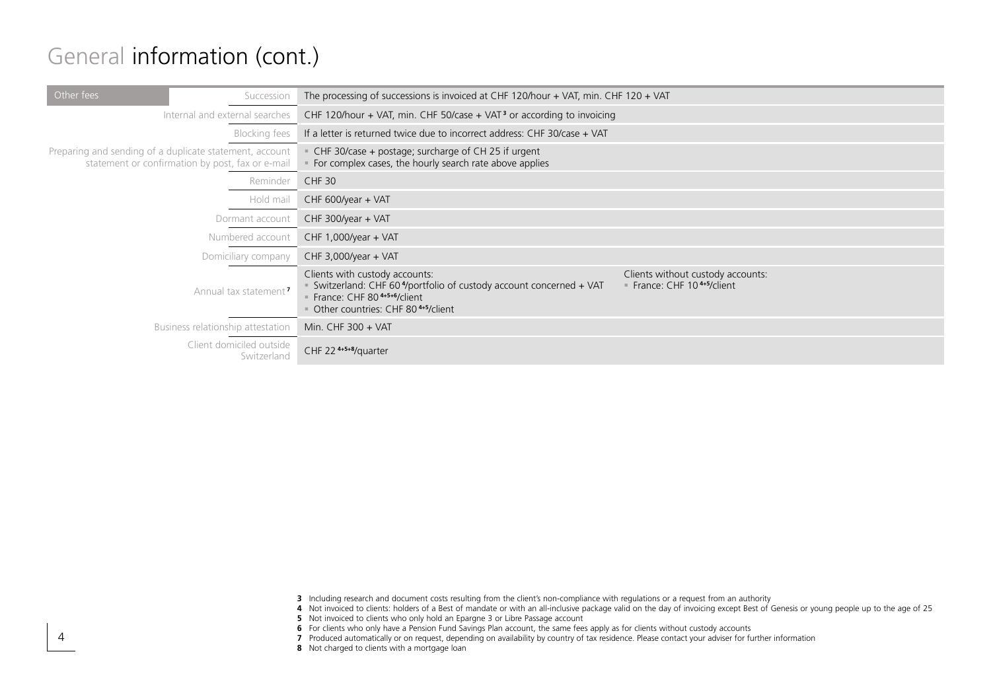#### General information (cont.)

| Other fees<br>Succession                                                                                    | The processing of successions is invoiced at CHF 120/hour + VAT, min. CHF 120 + VAT                                                                                                 |                                                                            |
|-------------------------------------------------------------------------------------------------------------|-------------------------------------------------------------------------------------------------------------------------------------------------------------------------------------|----------------------------------------------------------------------------|
| Internal and external searches                                                                              | CHF 120/hour + VAT, min. CHF 50/case + VAT <sup>3</sup> or according to invoicing                                                                                                   |                                                                            |
| <b>Blocking fees</b>                                                                                        | If a letter is returned twice due to incorrect address: CHF 30/case + VAT                                                                                                           |                                                                            |
| Preparing and sending of a duplicate statement, account<br>statement or confirmation by post, fax or e-mail | CHF 30/case + postage; surcharge of CH 25 if urgent<br>For complex cases, the hourly search rate above applies                                                                      |                                                                            |
| Reminder                                                                                                    | CHF 30                                                                                                                                                                              |                                                                            |
| Hold mail                                                                                                   | CHF 600/year + VAT                                                                                                                                                                  |                                                                            |
| Dormant account                                                                                             | CHF 300/year + VAT                                                                                                                                                                  |                                                                            |
| Numbered account                                                                                            | CHF 1,000/year + VAT                                                                                                                                                                |                                                                            |
| Domiciliary company                                                                                         | CHF 3,000/year + VAT                                                                                                                                                                |                                                                            |
| Annual tax statement <sup>7</sup>                                                                           | Clients with custody accounts:<br>Switzerland: CHF 60 <sup>4</sup> /portfolio of custody account concerned + VAT<br>France: CHF 804+5+6/client<br>Other countries: CHF 804+5/client | Clients without custody accounts:<br>France: CHF 10 <sup>4+5</sup> /client |
| Business relationship attestation                                                                           | Min. CHF 300 + VAT                                                                                                                                                                  |                                                                            |
| Client domiciled outside<br>Switzerland                                                                     | CHF 22 <sup>4+5+8</sup> /quarter                                                                                                                                                    |                                                                            |

**3** Including research and document costs resulting from the client's non-compliance with regulations or a request from an authority

**4** Not invoiced to clients: holders of a Best of mandate or with an all-inclusive package valid on the day of invoicing except Best of Genesis or young people up to the age of 25

**5** Not invoiced to clients who only hold an Epargne 3 or Libre Passage account

**6** For clients who only have a Pension Fund Savings Plan account, the same fees apply as for clients without custody accounts

**7** Produced automatically or on request, depending on availability by country of tax residence. Please contact your adviser for further information

**8** Not charged to clients with a mortgage loan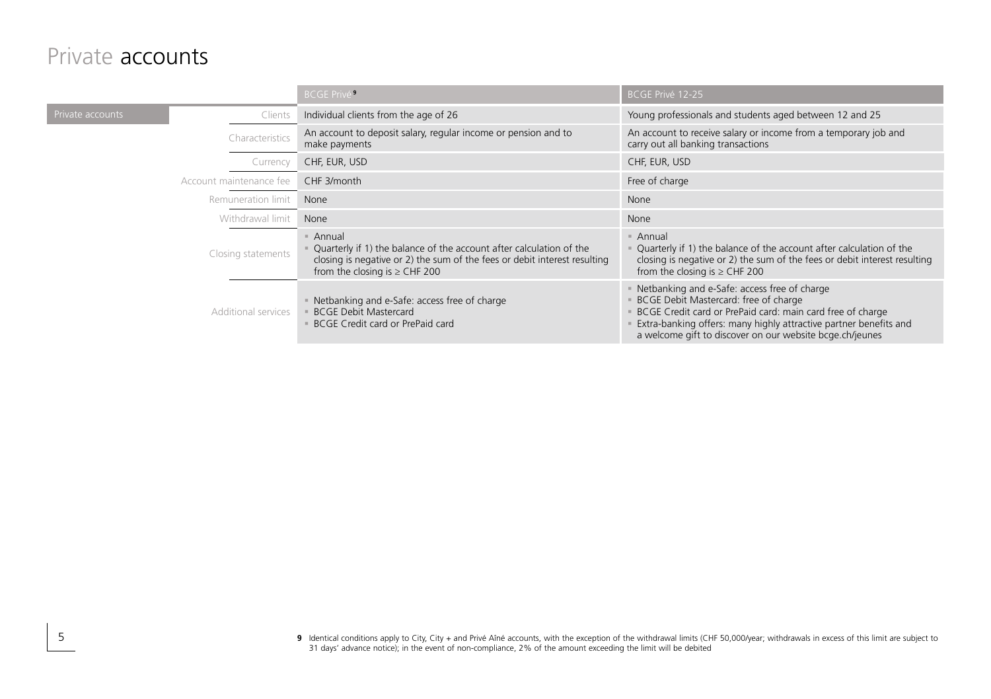#### Private accounts

|                  |                         | <b>BCGE Privé<sup>9</sup></b>                                                                                                                                                                    | BCGE Privé 12-25                                                                                                                                                                                                                                                                     |
|------------------|-------------------------|--------------------------------------------------------------------------------------------------------------------------------------------------------------------------------------------------|--------------------------------------------------------------------------------------------------------------------------------------------------------------------------------------------------------------------------------------------------------------------------------------|
| rivate accounts  | Clients                 | Individual clients from the age of 26                                                                                                                                                            | Young professionals and students aged between 12 and 25                                                                                                                                                                                                                              |
|                  | Characteristics         | An account to deposit salary, regular income or pension and to<br>make payments                                                                                                                  | An account to receive salary or income from a temporary job and<br>carry out all banking transactions                                                                                                                                                                                |
|                  | Currency                | CHF, EUR, USD                                                                                                                                                                                    | CHF, EUR, USD                                                                                                                                                                                                                                                                        |
|                  | Account maintenance fee | CHF 3/month                                                                                                                                                                                      | Free of charge                                                                                                                                                                                                                                                                       |
|                  | Remuneration limit      | None                                                                                                                                                                                             | None                                                                                                                                                                                                                                                                                 |
| Withdrawal limit |                         | None                                                                                                                                                                                             | None                                                                                                                                                                                                                                                                                 |
|                  | Closing statements      | Annual<br>Quarterly if 1) the balance of the account after calculation of the<br>closing is negative or 2) the sum of the fees or debit interest resulting<br>from the closing is $\geq$ CHF 200 | Annual<br>Quarterly if 1) the balance of the account after calculation of the<br>closing is negative or 2) the sum of the fees or debit interest resulting<br>from the closing is $\geq$ CHF 200                                                                                     |
|                  | Additional services     | • Netbanking and e-Safe: access free of charge<br><b>BCGE Debit Mastercard</b><br>BCGE Credit card or PrePaid card                                                                               | Netbanking and e-Safe: access free of charge<br>BCGE Debit Mastercard: free of charge<br>BCGE Credit card or PrePaid card: main card free of charge<br>Extra-banking offers: many highly attractive partner benefits and<br>a welcome gift to discover on our website bcge.ch/jeunes |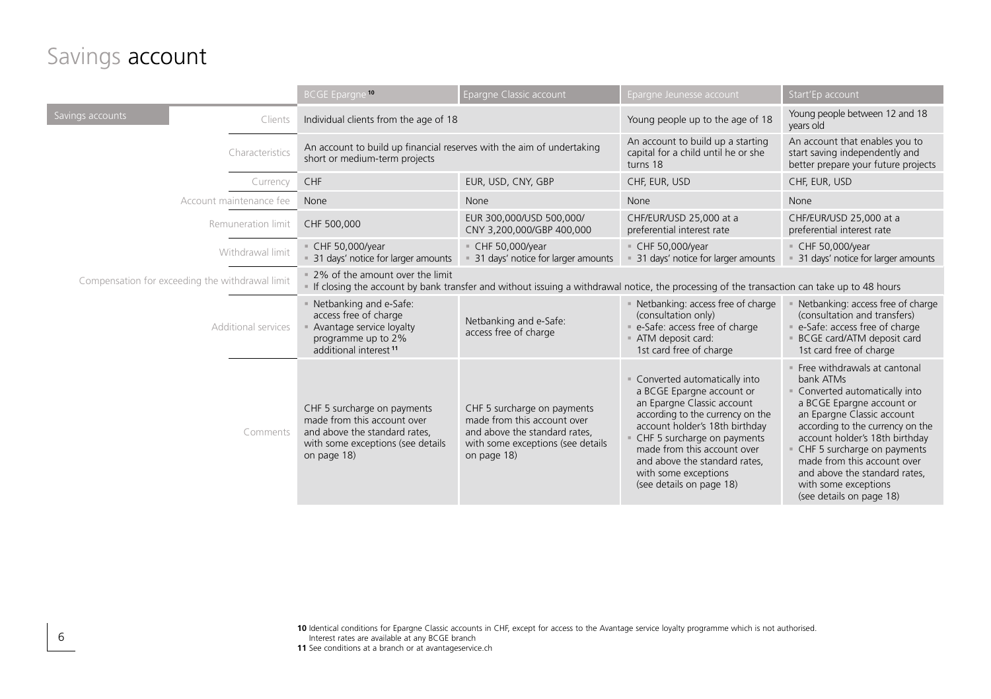#### Savings account

I

6

|                     |                                                 | <b>BCGE Epargne 10</b>                                                                                                                          | Epargne Classic account                                                                                                                         | Epargne Jeunesse account                                                                                                                                                                                                                                                                                         | Start'Ep account                                                                                                                                                                                                                                                                                                                                              |  |
|---------------------|-------------------------------------------------|-------------------------------------------------------------------------------------------------------------------------------------------------|-------------------------------------------------------------------------------------------------------------------------------------------------|------------------------------------------------------------------------------------------------------------------------------------------------------------------------------------------------------------------------------------------------------------------------------------------------------------------|---------------------------------------------------------------------------------------------------------------------------------------------------------------------------------------------------------------------------------------------------------------------------------------------------------------------------------------------------------------|--|
| Savings accounts    | Clients                                         | Individual clients from the age of 18<br>An account to build up financial reserves with the aim of undertaking<br>short or medium-term projects |                                                                                                                                                 | Young people up to the age of 18                                                                                                                                                                                                                                                                                 | Young people between 12 and 18<br>years old                                                                                                                                                                                                                                                                                                                   |  |
|                     | Characteristics                                 |                                                                                                                                                 |                                                                                                                                                 | An account to build up a starting<br>capital for a child until he or she<br>turns 18                                                                                                                                                                                                                             | An account that enables you to<br>start saving independently and<br>better prepare your future projects                                                                                                                                                                                                                                                       |  |
|                     | Currency                                        | CHF                                                                                                                                             | EUR, USD, CNY, GBP                                                                                                                              | CHF, EUR, USD                                                                                                                                                                                                                                                                                                    | CHF, EUR, USD                                                                                                                                                                                                                                                                                                                                                 |  |
|                     | Account maintenance fee                         | None                                                                                                                                            | None                                                                                                                                            | None                                                                                                                                                                                                                                                                                                             | None                                                                                                                                                                                                                                                                                                                                                          |  |
|                     | Remuneration limit                              | CHF 500,000                                                                                                                                     | EUR 300,000/USD 500,000/<br>CNY 3,200,000/GBP 400,000                                                                                           | CHF/EUR/USD 25,000 at a<br>preferential interest rate                                                                                                                                                                                                                                                            | CHF/EUR/USD 25,000 at a<br>preferential interest rate                                                                                                                                                                                                                                                                                                         |  |
|                     | Withdrawal limit                                | CHF 50,000/year<br>= 31 days' notice for larger amounts                                                                                         | CHF 50,000/year<br>31 days' notice for larger amounts                                                                                           | CHF 50,000/year<br>31 days' notice for larger amounts                                                                                                                                                                                                                                                            | CHF 50,000/year<br>31 days' notice for larger amounts                                                                                                                                                                                                                                                                                                         |  |
|                     | Compensation for exceeding the withdrawal limit | . 2% of the amount over the limit                                                                                                               |                                                                                                                                                 | If closing the account by bank transfer and without issuing a withdrawal notice, the processing of the transaction can take up to 48 hours                                                                                                                                                                       |                                                                                                                                                                                                                                                                                                                                                               |  |
| Additional services |                                                 | - Netbanking and e-Safe:<br>access free of charge<br>Avantage service loyalty<br>programme up to 2%<br>additional interest <sup>11</sup>        | Netbanking and e-Safe:<br>access free of charge                                                                                                 | Netbanking: access free of charge<br>(consultation only)<br>e-Safe: access free of charge<br>ATM deposit card:<br>1st card free of charge                                                                                                                                                                        | Netbanking: access free of charge<br>(consultation and transfers)<br>e-Safe: access free of charge<br>BCGE card/ATM deposit card<br>1st card free of charge                                                                                                                                                                                                   |  |
|                     | Comments                                        | CHF 5 surcharge on payments<br>made from this account over<br>and above the standard rates,<br>with some exceptions (see details<br>on page 18) | CHF 5 surcharge on payments<br>made from this account over<br>and above the standard rates,<br>with some exceptions (see details<br>on page 18) | Converted automatically into<br>a BCGE Epargne account or<br>an Epargne Classic account<br>according to the currency on the<br>account holder's 18th birthday<br>CHF 5 surcharge on payments<br>made from this account over<br>and above the standard rates,<br>with some exceptions<br>(see details on page 18) | Free withdrawals at cantonal<br>bank ATMs<br>Converted automatically into<br>a BCGE Epargne account or<br>an Epargne Classic account<br>according to the currency on the<br>account holder's 18th birthday<br>CHF 5 surcharge on payments<br>made from this account over<br>and above the standard rates,<br>with some exceptions<br>(see details on page 18) |  |

**<sup>10</sup>** Identical conditions for Epargne Classic accounts in CHF, except for access to the Avantage service loyalty programme which is not authorised. Interest rates are available at any BCGE branch 11 See conditions at a branch or at avantageservice.ch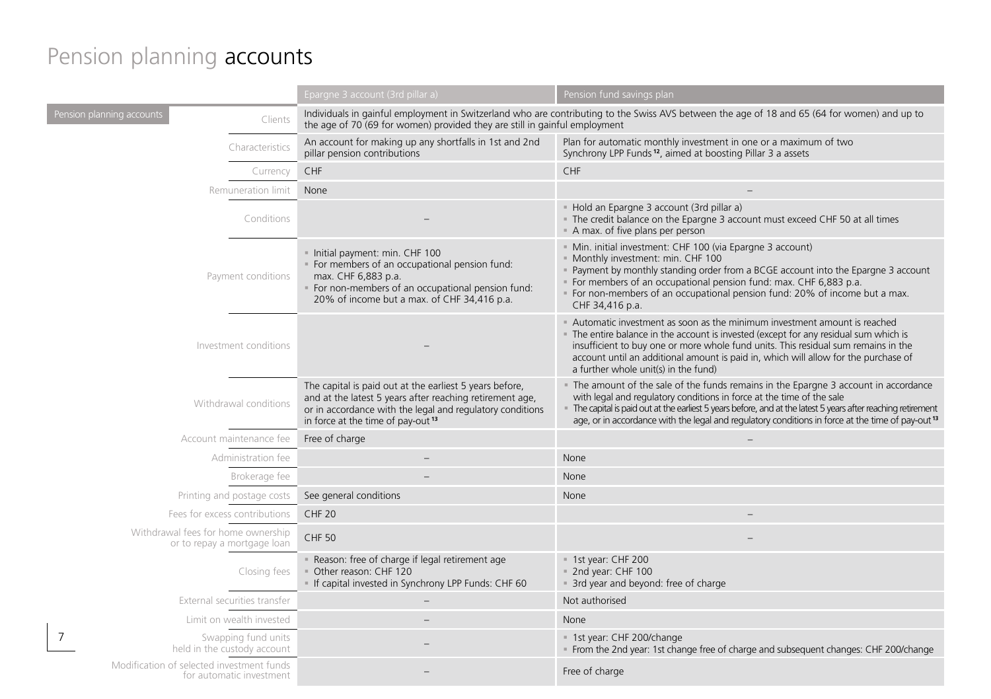# Pension planning **accounts**

|                                                                       | Epargne 3 account (3rd pillar a)                                                                                                                                                                                                  | Pension fund savings plan                                                                                                                                                                                                                                                                                                                                                                  |
|-----------------------------------------------------------------------|-----------------------------------------------------------------------------------------------------------------------------------------------------------------------------------------------------------------------------------|--------------------------------------------------------------------------------------------------------------------------------------------------------------------------------------------------------------------------------------------------------------------------------------------------------------------------------------------------------------------------------------------|
| Pension planning accounts<br>Clients                                  | the age of 70 (69 for women) provided they are still in gainful employment                                                                                                                                                        | Individuals in gainful employment in Switzerland who are contributing to the Swiss AVS between the age of 18 and 65 (64 for women) and up to                                                                                                                                                                                                                                               |
| Characteristics                                                       | An account for making up any shortfalls in 1st and 2nd<br>pillar pension contributions                                                                                                                                            | Plan for automatic monthly investment in one or a maximum of two<br>Synchrony LPP Funds <sup>12</sup> , aimed at boosting Pillar 3 a assets                                                                                                                                                                                                                                                |
| Currency                                                              | CHF                                                                                                                                                                                                                               | CHF                                                                                                                                                                                                                                                                                                                                                                                        |
| Remuneration limit                                                    | None                                                                                                                                                                                                                              |                                                                                                                                                                                                                                                                                                                                                                                            |
| Conditions                                                            |                                                                                                                                                                                                                                   | - Hold an Epargne 3 account (3rd pillar a)<br>. The credit balance on the Epargne 3 account must exceed CHF 50 at all times<br>A max. of five plans per person                                                                                                                                                                                                                             |
| Payment conditions                                                    | · Initial payment: min. CHF 100<br>· For members of an occupational pension fund:<br>max. CHF 6,883 p.a.<br>For non-members of an occupational pension fund:<br>20% of income but a max. of CHF 34,416 p.a.                       | - Min. initial investment: CHF 100 (via Epargne 3 account)<br>· Monthly investment: min. CHF 100<br>Payment by monthly standing order from a BCGE account into the Epargne 3 account<br>For members of an occupational pension fund: max. CHF 6,883 p.a.<br>For non-members of an occupational pension fund: 20% of income but a max.<br>CHF 34,416 p.a.                                   |
| Investment conditions                                                 |                                                                                                                                                                                                                                   | Automatic investment as soon as the minimum investment amount is reached<br>. The entire balance in the account is invested (except for any residual sum which is<br>insufficient to buy one or more whole fund units. This residual sum remains in the<br>account until an additional amount is paid in, which will allow for the purchase of<br>a further whole unit(s) in the fund)     |
| Withdrawal conditions                                                 | The capital is paid out at the earliest 5 years before,<br>and at the latest 5 years after reaching retirement age,<br>or in accordance with the legal and regulatory conditions<br>in force at the time of pay-out <sup>13</sup> | The amount of the sale of the funds remains in the Epargne 3 account in accordance<br>with legal and regulatory conditions in force at the time of the sale<br>The capital is paid out at the earliest 5 years before, and at the latest 5 years after reaching retirement<br>age, or in accordance with the legal and regulatory conditions in force at the time of pay-out <sup>13</sup> |
| Account maintenance fee                                               | Free of charge                                                                                                                                                                                                                    |                                                                                                                                                                                                                                                                                                                                                                                            |
| Administration fee                                                    |                                                                                                                                                                                                                                   | None                                                                                                                                                                                                                                                                                                                                                                                       |
| Brokerage fee                                                         |                                                                                                                                                                                                                                   | None                                                                                                                                                                                                                                                                                                                                                                                       |
| Printing and postage costs                                            | See general conditions                                                                                                                                                                                                            | None                                                                                                                                                                                                                                                                                                                                                                                       |
| Fees for excess contributions                                         | CHF <sub>20</sub>                                                                                                                                                                                                                 |                                                                                                                                                                                                                                                                                                                                                                                            |
| Withdrawal fees for home ownership<br>or to repay a mortgage loan     | <b>CHF 50</b>                                                                                                                                                                                                                     |                                                                                                                                                                                                                                                                                                                                                                                            |
| Closing fees                                                          | - Reason: free of charge if legal retirement age<br>Other reason: CHF 120<br>If capital invested in Synchrony LPP Funds: CHF 60                                                                                                   | = 1st year: CHF 200<br>= 2nd year: CHF 100<br>a 3rd year and beyond: free of charge                                                                                                                                                                                                                                                                                                        |
| External securities transfer                                          |                                                                                                                                                                                                                                   | Not authorised                                                                                                                                                                                                                                                                                                                                                                             |
| Limit on wealth invested                                              |                                                                                                                                                                                                                                   | None                                                                                                                                                                                                                                                                                                                                                                                       |
| Swapping fund units<br>held in the custody account                    |                                                                                                                                                                                                                                   | = 1st year: CHF 200/change<br>From the 2nd year: 1st change free of charge and subsequent changes: CHF 200/change                                                                                                                                                                                                                                                                          |
| Modification of selected investment funds<br>for automatic investment |                                                                                                                                                                                                                                   | Free of charge                                                                                                                                                                                                                                                                                                                                                                             |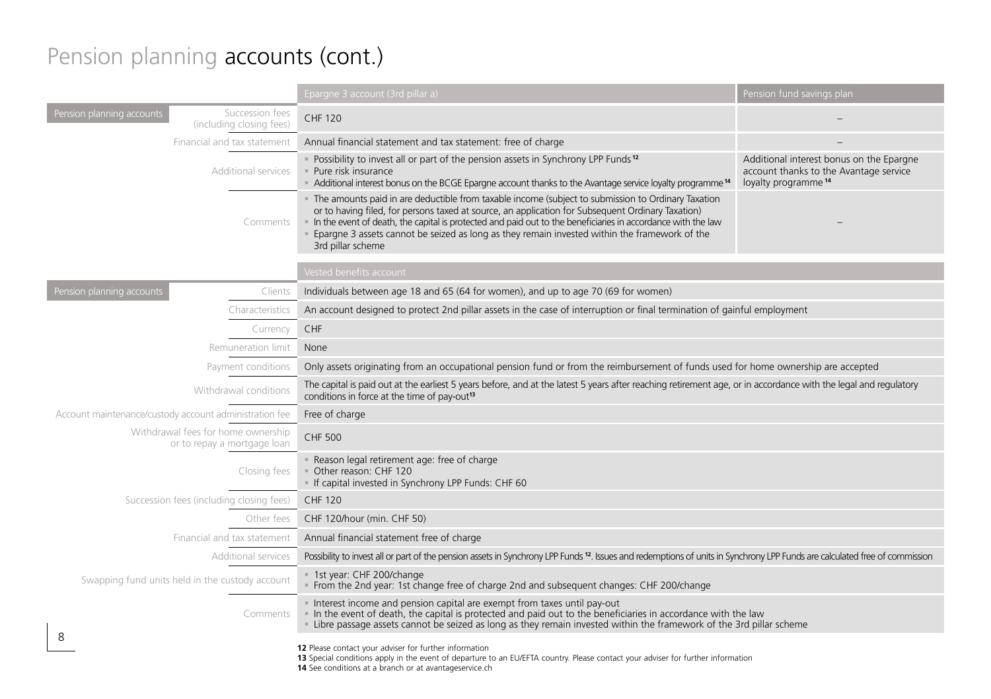#### Pension planning accounts (cont.)

|                                                                          | Epargne 3 account (3rd pillar a)                                                                                                                                                                                                                                                                                                                                                                                                              | Pension fund savings plan                                                                                             |  |
|--------------------------------------------------------------------------|-----------------------------------------------------------------------------------------------------------------------------------------------------------------------------------------------------------------------------------------------------------------------------------------------------------------------------------------------------------------------------------------------------------------------------------------------|-----------------------------------------------------------------------------------------------------------------------|--|
| Succession fees<br>Pension planning accounts<br>(including closing fees) | <b>CHF 120</b>                                                                                                                                                                                                                                                                                                                                                                                                                                |                                                                                                                       |  |
| Financial and tax statement                                              | Annual financial statement and tax statement: free of charge                                                                                                                                                                                                                                                                                                                                                                                  |                                                                                                                       |  |
| Additional services                                                      | Possibility to invest all or part of the pension assets in Synchrony LPP Funds <sup>12</sup><br>· Pure risk insurance<br>Additional interest bonus on the BCGE Epargne account thanks to the Avantage service loyalty programme <sup>14</sup>                                                                                                                                                                                                 | Additional interest bonus on the Epargne<br>account thanks to the Avantage service<br>loyalty programme <sup>14</sup> |  |
| Comments                                                                 | The amounts paid in are deductible from taxable income (subject to submission to Ordinary Taxation<br>or to having filed, for persons taxed at source, an application for Subsequent Ordinary Taxation)<br>In the event of death, the capital is protected and paid out to the beneficiaries in accordance with the law<br>Epargne 3 assets cannot be seized as long as they remain invested within the framework of the<br>3rd pillar scheme |                                                                                                                       |  |
|                                                                          | Vested benefits account                                                                                                                                                                                                                                                                                                                                                                                                                       |                                                                                                                       |  |
| Pension planning accounts<br>Clients                                     | Individuals between age 18 and 65 (64 for women), and up to age 70 (69 for women)                                                                                                                                                                                                                                                                                                                                                             |                                                                                                                       |  |
| Characteristics                                                          | An account designed to protect 2nd pillar assets in the case of interruption or final termination of gainful employment                                                                                                                                                                                                                                                                                                                       |                                                                                                                       |  |
| Currency                                                                 | CHF                                                                                                                                                                                                                                                                                                                                                                                                                                           |                                                                                                                       |  |
| Remuneration limit                                                       | None                                                                                                                                                                                                                                                                                                                                                                                                                                          |                                                                                                                       |  |
| Payment conditions                                                       | Only assets originating from an occupational pension fund or from the reimbursement of funds used for home ownership are accepted                                                                                                                                                                                                                                                                                                             |                                                                                                                       |  |
| Withdrawal conditions                                                    | The capital is paid out at the earliest 5 years before, and at the latest 5 years after reaching retirement age, or in accordance with the legal and regulatory<br>conditions in force at the time of pay-out <sup>13</sup>                                                                                                                                                                                                                   |                                                                                                                       |  |
| Account maintenance/custody account administration fee                   | Free of charge                                                                                                                                                                                                                                                                                                                                                                                                                                |                                                                                                                       |  |
| Withdrawal fees for home ownership<br>or to repay a mortgage loan        | <b>CHF 500</b>                                                                                                                                                                                                                                                                                                                                                                                                                                |                                                                                                                       |  |
| Closing fees                                                             | Reason legal retirement age: free of charge<br>Other reason: CHF 120<br>If capital invested in Synchrony LPP Funds: CHF 60                                                                                                                                                                                                                                                                                                                    |                                                                                                                       |  |
| Succession fees (including closing fees)                                 | <b>CHF 120</b>                                                                                                                                                                                                                                                                                                                                                                                                                                |                                                                                                                       |  |
| Other fees                                                               | CHF 120/hour (min. CHF 50)                                                                                                                                                                                                                                                                                                                                                                                                                    |                                                                                                                       |  |
| Financial and tax statement                                              | Annual financial statement free of charge                                                                                                                                                                                                                                                                                                                                                                                                     |                                                                                                                       |  |
| Additional services                                                      | Possibility to invest all or part of the pension assets in Synchrony LPP Funds 12. Issues and redemptions of units in Synchrony LPP Funds are calculated free of commission                                                                                                                                                                                                                                                                   |                                                                                                                       |  |
| Swapping fund units held in the custody account                          | = 1st year: CHF 200/change<br>From the 2nd year: 1st change free of charge 2nd and subsequent changes: CHF 200/change                                                                                                                                                                                                                                                                                                                         |                                                                                                                       |  |
| Comments                                                                 | Interest income and pension capital are exempt from taxes until pay-out<br>In the event of death, the capital is protected and paid out to the beneficiaries in accordance with the law<br>Libre passage assets cannot be seized as long as they remain invested within the framework of the 3rd pillar scheme                                                                                                                                |                                                                                                                       |  |
| 8                                                                        | 12 Please contact your adviser for further information<br>13 Special conditions apply in the event of departure to an EU/EFTA country. Please contact your adviser for further information<br>14 See conditions at a branch or at avantageservice.ch                                                                                                                                                                                          |                                                                                                                       |  |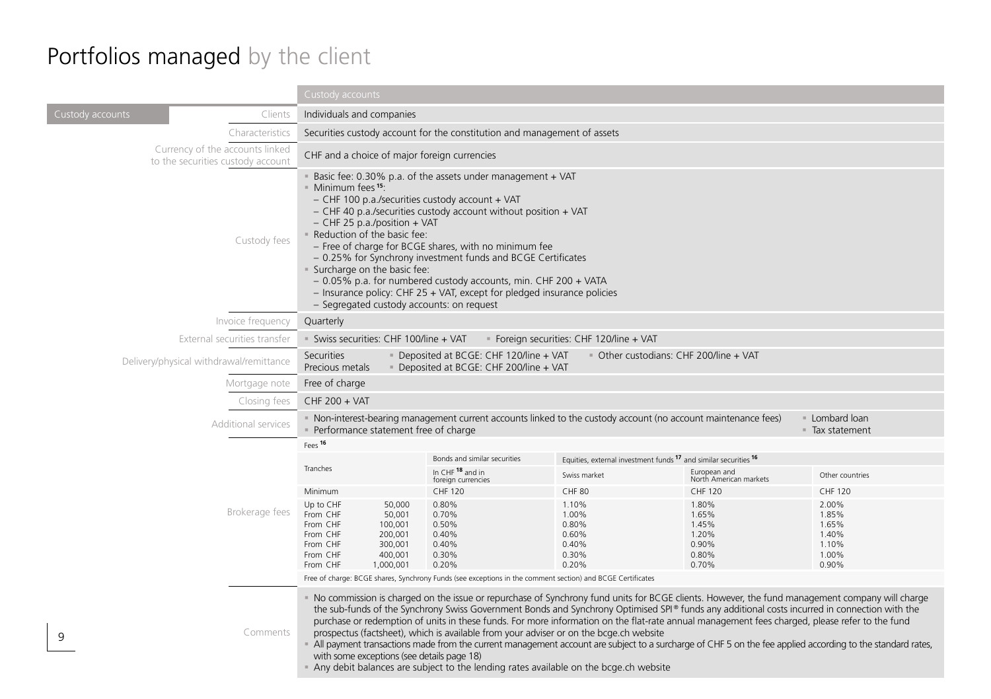# Portfolios managed by the client

|                                                                      | Custody accounts                                                                                                                                               |                                                                                                                                                                                                                                                                                                                                                                                                                                                                                                                                                                                                            |                                                                                                                                                                                |                                                                                                                                                                                                                                                                                                 |                                                                                                                                                                                                                                                                                                               |
|----------------------------------------------------------------------|----------------------------------------------------------------------------------------------------------------------------------------------------------------|------------------------------------------------------------------------------------------------------------------------------------------------------------------------------------------------------------------------------------------------------------------------------------------------------------------------------------------------------------------------------------------------------------------------------------------------------------------------------------------------------------------------------------------------------------------------------------------------------------|--------------------------------------------------------------------------------------------------------------------------------------------------------------------------------|-------------------------------------------------------------------------------------------------------------------------------------------------------------------------------------------------------------------------------------------------------------------------------------------------|---------------------------------------------------------------------------------------------------------------------------------------------------------------------------------------------------------------------------------------------------------------------------------------------------------------|
| Custody accounts<br>Clients                                          |                                                                                                                                                                | Individuals and companies                                                                                                                                                                                                                                                                                                                                                                                                                                                                                                                                                                                  |                                                                                                                                                                                |                                                                                                                                                                                                                                                                                                 |                                                                                                                                                                                                                                                                                                               |
| Characteristics                                                      |                                                                                                                                                                | Securities custody account for the constitution and management of assets                                                                                                                                                                                                                                                                                                                                                                                                                                                                                                                                   |                                                                                                                                                                                |                                                                                                                                                                                                                                                                                                 |                                                                                                                                                                                                                                                                                                               |
| Currency of the accounts linked<br>to the securities custody account | CHF and a choice of major foreign currencies                                                                                                                   |                                                                                                                                                                                                                                                                                                                                                                                                                                                                                                                                                                                                            |                                                                                                                                                                                |                                                                                                                                                                                                                                                                                                 |                                                                                                                                                                                                                                                                                                               |
| Custody fees                                                         | Minimum fees <sup>15</sup> :                                                                                                                                   | Basic fee: 0.30% p.a. of the assets under management + VAT<br>$-$ CHF 100 p.a./securities custody account + VAT<br>- CHF 40 p.a./securities custody account without position + VAT<br>$-$ CHF 25 p.a./position $+$ VAT<br>Reduction of the basic fee:<br>- Free of charge for BCGE shares, with no minimum fee<br>- 0.25% for Synchrony investment funds and BCGE Certificates<br>Surcharge on the basic fee:<br>- 0.05% p.a. for numbered custody accounts, min. CHF 200 + VATA<br>$-$ Insurance policy: CHF 25 + VAT, except for pledged insurance policies<br>- Segregated custody accounts: on request |                                                                                                                                                                                |                                                                                                                                                                                                                                                                                                 |                                                                                                                                                                                                                                                                                                               |
| Invoice frequency                                                    | Quarterly                                                                                                                                                      |                                                                                                                                                                                                                                                                                                                                                                                                                                                                                                                                                                                                            |                                                                                                                                                                                |                                                                                                                                                                                                                                                                                                 |                                                                                                                                                                                                                                                                                                               |
| External securities transfer                                         |                                                                                                                                                                | Swiss securities: CHF 100/line + VAT<br>Foreign securities: CHF 120/line + VAT                                                                                                                                                                                                                                                                                                                                                                                                                                                                                                                             |                                                                                                                                                                                |                                                                                                                                                                                                                                                                                                 |                                                                                                                                                                                                                                                                                                               |
| Delivery/physical withdrawal/remittance                              | Securities<br>Precious metals                                                                                                                                  | Deposited at BCGE: CHF 120/line + VAT<br>Other custodians: CHF 200/line + VAT<br>Deposited at BCGE: CHF 200/line + VAT                                                                                                                                                                                                                                                                                                                                                                                                                                                                                     |                                                                                                                                                                                |                                                                                                                                                                                                                                                                                                 |                                                                                                                                                                                                                                                                                                               |
| Mortgage note                                                        | Free of charge                                                                                                                                                 |                                                                                                                                                                                                                                                                                                                                                                                                                                                                                                                                                                                                            |                                                                                                                                                                                |                                                                                                                                                                                                                                                                                                 |                                                                                                                                                                                                                                                                                                               |
| Closing fees                                                         | CHF 200 + VAT                                                                                                                                                  |                                                                                                                                                                                                                                                                                                                                                                                                                                                                                                                                                                                                            |                                                                                                                                                                                |                                                                                                                                                                                                                                                                                                 |                                                                                                                                                                                                                                                                                                               |
| Additional services                                                  |                                                                                                                                                                | Non-interest-bearing management current accounts linked to the custody account (no account maintenance fees)<br>Lombard loan<br>Performance statement free of charge<br>■ Tax statement                                                                                                                                                                                                                                                                                                                                                                                                                    |                                                                                                                                                                                |                                                                                                                                                                                                                                                                                                 |                                                                                                                                                                                                                                                                                                               |
|                                                                      | Fees <sup>16</sup>                                                                                                                                             |                                                                                                                                                                                                                                                                                                                                                                                                                                                                                                                                                                                                            |                                                                                                                                                                                |                                                                                                                                                                                                                                                                                                 |                                                                                                                                                                                                                                                                                                               |
|                                                                      | Tranches                                                                                                                                                       | Bonds and similar securities                                                                                                                                                                                                                                                                                                                                                                                                                                                                                                                                                                               | Equities, external investment funds <sup>17</sup> and similar securities <sup>16</sup>                                                                                         |                                                                                                                                                                                                                                                                                                 |                                                                                                                                                                                                                                                                                                               |
|                                                                      |                                                                                                                                                                | In CHF <sup>18</sup> and in<br>foreign currencies                                                                                                                                                                                                                                                                                                                                                                                                                                                                                                                                                          | Swiss market                                                                                                                                                                   | European and<br>North American markets                                                                                                                                                                                                                                                          | Other countries                                                                                                                                                                                                                                                                                               |
|                                                                      | Minimum                                                                                                                                                        | CHF 120                                                                                                                                                                                                                                                                                                                                                                                                                                                                                                                                                                                                    | <b>CHF 80</b>                                                                                                                                                                  | CHF 120                                                                                                                                                                                                                                                                                         | <b>CHF 120</b>                                                                                                                                                                                                                                                                                                |
| Brokerage fees                                                       | 50,000<br>Up to CHF<br>From CHF<br>50,001<br>From CHF<br>100,001<br>From CHF<br>200,001<br>From CHF<br>300,001<br>From CHF<br>400,001<br>From CHF<br>1,000,001 | 0.80%<br>0.70%<br>0.50%<br>0.40%<br>0.40%<br>0.30%<br>0.20%                                                                                                                                                                                                                                                                                                                                                                                                                                                                                                                                                | 1.10%<br>1.00%<br>0.80%<br>0.60%<br>0.40%<br>0.30%<br>0.20%                                                                                                                    | 1.80%<br>1.65%<br>1.45%<br>1.20%<br>0.90%<br>0.80%<br>0.70%                                                                                                                                                                                                                                     | 2.00%<br>1.85%<br>1.65%<br>1.40%<br>1.10%<br>1.00%<br>0.90%                                                                                                                                                                                                                                                   |
|                                                                      |                                                                                                                                                                | Free of charge: BCGE shares, Synchrony Funds (see exceptions in the comment section) and BCGE Certificates                                                                                                                                                                                                                                                                                                                                                                                                                                                                                                 |                                                                                                                                                                                |                                                                                                                                                                                                                                                                                                 |                                                                                                                                                                                                                                                                                                               |
| Comments<br>9                                                        | with some exceptions (see details page 18)                                                                                                                     |                                                                                                                                                                                                                                                                                                                                                                                                                                                                                                                                                                                                            | prospectus (factsheet), which is available from your adviser or on the bcge.ch website<br>Any debit balances are subject to the lending rates available on the bcge.ch website | the sub-funds of the Synchrony Swiss Government Bonds and Synchrony Optimised SPI® funds any additional costs incurred in connection with the<br>purchase or redemption of units in these funds. For more information on the flat-rate annual management fees charged, please refer to the fund | • No commission is charged on the issue or repurchase of Synchrony fund units for BCGE clients. However, the fund management company will charge<br>All payment transactions made from the current management account are subject to a surcharge of CHF 5 on the fee applied according to the standard rates, |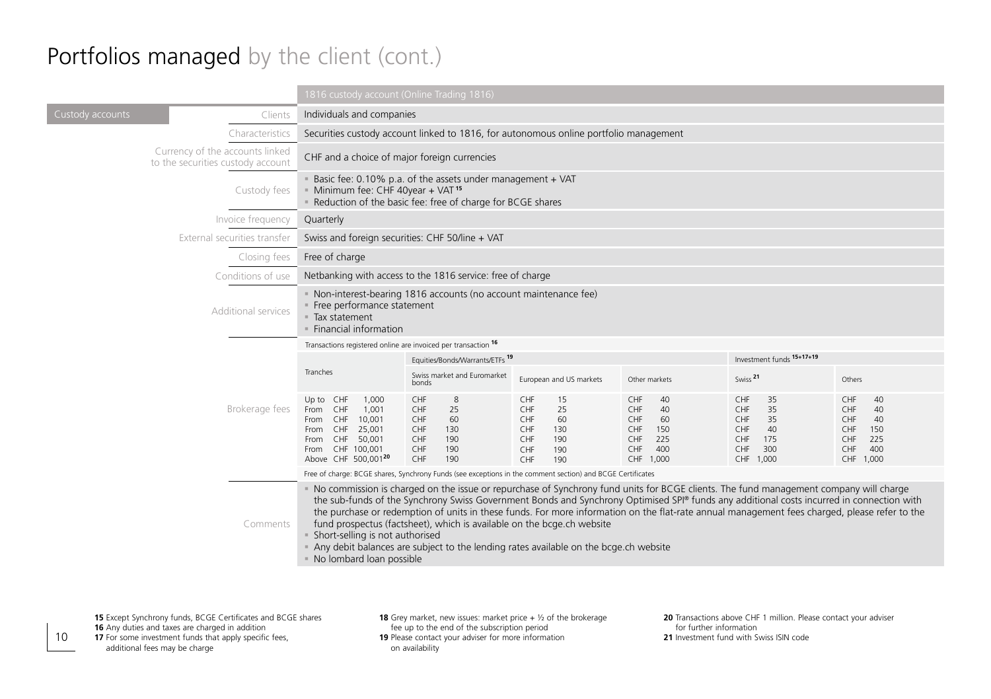#### Portfolios managed by the client (cont.)

|                                                                      | 1816 custody account (Online Trading 1816)                                                                                                              |                                                                                                                                                                         |                                                                                                            |                                                                                                                                                                                                                                                                                                                                                                                                                                       |                                                                                           |                                                                                            |
|----------------------------------------------------------------------|---------------------------------------------------------------------------------------------------------------------------------------------------------|-------------------------------------------------------------------------------------------------------------------------------------------------------------------------|------------------------------------------------------------------------------------------------------------|---------------------------------------------------------------------------------------------------------------------------------------------------------------------------------------------------------------------------------------------------------------------------------------------------------------------------------------------------------------------------------------------------------------------------------------|-------------------------------------------------------------------------------------------|--------------------------------------------------------------------------------------------|
| Custody accounts<br>Clients                                          |                                                                                                                                                         | Individuals and companies                                                                                                                                               |                                                                                                            |                                                                                                                                                                                                                                                                                                                                                                                                                                       |                                                                                           |                                                                                            |
| Characteristics                                                      |                                                                                                                                                         | Securities custody account linked to 1816, for autonomous online portfolio management                                                                                   |                                                                                                            |                                                                                                                                                                                                                                                                                                                                                                                                                                       |                                                                                           |                                                                                            |
| Currency of the accounts linked<br>to the securities custody account |                                                                                                                                                         | CHF and a choice of major foreign currencies                                                                                                                            |                                                                                                            |                                                                                                                                                                                                                                                                                                                                                                                                                                       |                                                                                           |                                                                                            |
| Custody fees                                                         |                                                                                                                                                         | Basic fee: 0.10% p.a. of the assets under management + VAT<br>Minimum fee: CHF 40year + VAT <sup>15</sup><br>Reduction of the basic fee: free of charge for BCGE shares |                                                                                                            |                                                                                                                                                                                                                                                                                                                                                                                                                                       |                                                                                           |                                                                                            |
| Invoice frequency                                                    | Quarterly                                                                                                                                               |                                                                                                                                                                         |                                                                                                            |                                                                                                                                                                                                                                                                                                                                                                                                                                       |                                                                                           |                                                                                            |
| External securities transfer                                         | Swiss and foreign securities: CHF 50/line + VAT                                                                                                         |                                                                                                                                                                         |                                                                                                            |                                                                                                                                                                                                                                                                                                                                                                                                                                       |                                                                                           |                                                                                            |
| Closing fees                                                         | Free of charge                                                                                                                                          |                                                                                                                                                                         |                                                                                                            |                                                                                                                                                                                                                                                                                                                                                                                                                                       |                                                                                           |                                                                                            |
| Conditions of use                                                    |                                                                                                                                                         | Netbanking with access to the 1816 service: free of charge                                                                                                              |                                                                                                            |                                                                                                                                                                                                                                                                                                                                                                                                                                       |                                                                                           |                                                                                            |
| Additional services                                                  | • Non-interest-bearing 1816 accounts (no account maintenance fee)<br>· Free performance statement<br>■ Tax statement<br>· Financial information         |                                                                                                                                                                         |                                                                                                            |                                                                                                                                                                                                                                                                                                                                                                                                                                       |                                                                                           |                                                                                            |
|                                                                      | Transactions registered online are invoiced per transaction 16                                                                                          |                                                                                                                                                                         |                                                                                                            |                                                                                                                                                                                                                                                                                                                                                                                                                                       |                                                                                           |                                                                                            |
|                                                                      |                                                                                                                                                         | Equities/Bonds/Warrants/ETFs <sup>19</sup>                                                                                                                              |                                                                                                            | Investment funds 15+17+19                                                                                                                                                                                                                                                                                                                                                                                                             |                                                                                           |                                                                                            |
|                                                                      | Tranches                                                                                                                                                | Swiss market and Euromarket<br>bonds                                                                                                                                    | European and US markets                                                                                    | Other markets                                                                                                                                                                                                                                                                                                                                                                                                                         | Swiss <sup>21</sup>                                                                       | Others                                                                                     |
| Brokerage fees                                                       | Up to CHF<br>1,000<br>From CHF<br>1,001<br>CHF<br>10,001<br>From<br>CHF<br>25,001<br>From<br>From CHF 50,001<br>From CHF 100,001<br>Above CHF 500.00120 | CHF<br>8<br>25<br>CHF<br>CHF<br>60<br>CHF<br>130<br>190<br>CHF<br>CHF<br>190<br>190<br>CHF                                                                              | CHF<br>15<br>CHF<br>25<br>CHF<br>60<br>CHF<br>130<br>CHF<br>190<br>CHF<br>190<br>CHF<br>190                | CHF<br>40<br>CHF<br>40<br>CHF<br>60<br>CHF<br>150<br>CHF<br>225<br>400<br>CHF<br>CHF 1,000                                                                                                                                                                                                                                                                                                                                            | CHF<br>35<br>CHF<br>35<br>CHF<br>35<br>CHF<br>40<br>CHF<br>175<br>CHF<br>300<br>CHF 1,000 | CHF<br>40<br>CHF<br>40<br>CHF<br>40<br>CHF<br>150<br>CHF<br>225<br>400<br>CHF<br>CHF 1,000 |
|                                                                      |                                                                                                                                                         |                                                                                                                                                                         | Free of charge: BCGE shares, Synchrony Funds (see exceptions in the comment section) and BCGE Certificates |                                                                                                                                                                                                                                                                                                                                                                                                                                       |                                                                                           |                                                                                            |
| Comments                                                             | · Short-selling is not authorised<br>No lombard loan possible                                                                                           | fund prospectus (factsheet), which is available on the bcge.ch website                                                                                                  | Any debit balances are subject to the lending rates available on the bcge.ch website                       | " No commission is charged on the issue or repurchase of Synchrony fund units for BCGE clients. The fund management company will charge<br>the sub-funds of the Synchrony Swiss Government Bonds and Synchrony Optimised SPI® funds any additional costs incurred in connection with<br>the purchase or redemption of units in these funds. For more information on the flat-rate annual management fees charged, please refer to the |                                                                                           |                                                                                            |

10

**18** Grey market, new issues: market price  $+$   $\frac{1}{2}$  of the brokerage fee up to the end of the subscription period **19** Please contact your adviser for more information on availability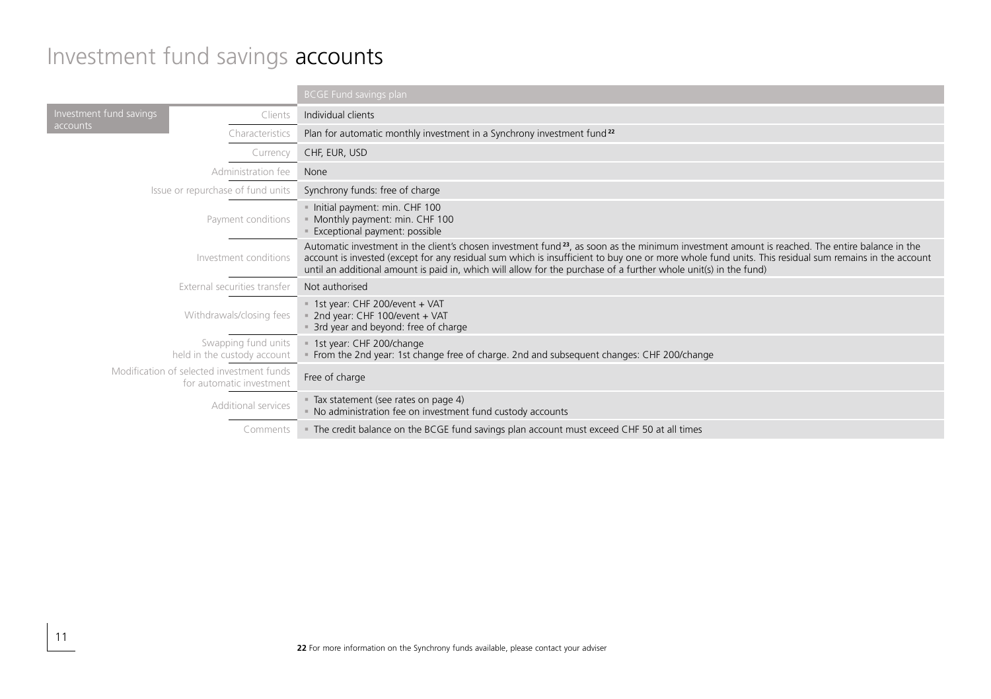#### Investment fund savings accounts

|                              |                                                                       | <b>BCGE Fund savings plan</b>                                                                                                                                                                                                                                                                                                                                                                                                          |  |
|------------------------------|-----------------------------------------------------------------------|----------------------------------------------------------------------------------------------------------------------------------------------------------------------------------------------------------------------------------------------------------------------------------------------------------------------------------------------------------------------------------------------------------------------------------------|--|
| Investment fund savings      | Clients                                                               | Individual clients                                                                                                                                                                                                                                                                                                                                                                                                                     |  |
| accounts                     | Characteristics                                                       | Plan for automatic monthly investment in a Synchrony investment fund <sup>22</sup>                                                                                                                                                                                                                                                                                                                                                     |  |
|                              | Currency                                                              | CHF, EUR, USD                                                                                                                                                                                                                                                                                                                                                                                                                          |  |
|                              | Administration fee                                                    | None                                                                                                                                                                                                                                                                                                                                                                                                                                   |  |
|                              | Issue or repurchase of fund units                                     | Synchrony funds: free of charge                                                                                                                                                                                                                                                                                                                                                                                                        |  |
| Payment conditions           |                                                                       | - Initial payment: min. CHF 100<br>Monthly payment: min. CHF 100<br>Exceptional payment: possible                                                                                                                                                                                                                                                                                                                                      |  |
| Investment conditions        |                                                                       | Automatic investment in the client's chosen investment fund <sup>23</sup> , as soon as the minimum investment amount is reached. The entire balance in the<br>account is invested (except for any residual sum which is insufficient to buy one or more whole fund units. This residual sum remains in the account<br>until an additional amount is paid in, which will allow for the purchase of a further whole unit(s) in the fund) |  |
| External securities transfer |                                                                       | Not authorised                                                                                                                                                                                                                                                                                                                                                                                                                         |  |
| Withdrawals/closing fees     |                                                                       | = 1st year: CHF 200/event + VAT<br>2nd year: CHF 100/event + VAT<br>3rd year and beyond: free of charge                                                                                                                                                                                                                                                                                                                                |  |
|                              | Swapping fund units<br>held in the custody account                    | 1st year: CHF 200/change<br>From the 2nd year: 1st change free of charge. 2nd and subsequent changes: CHF 200/change                                                                                                                                                                                                                                                                                                                   |  |
|                              | Modification of selected investment funds<br>for automatic investment | Free of charge                                                                                                                                                                                                                                                                                                                                                                                                                         |  |
| Additional services          |                                                                       | - Tax statement (see rates on page 4)<br>- No administration fee on investment fund custody accounts                                                                                                                                                                                                                                                                                                                                   |  |
|                              | Comments                                                              | The credit balance on the BCGE fund savings plan account must exceed CHF 50 at all times                                                                                                                                                                                                                                                                                                                                               |  |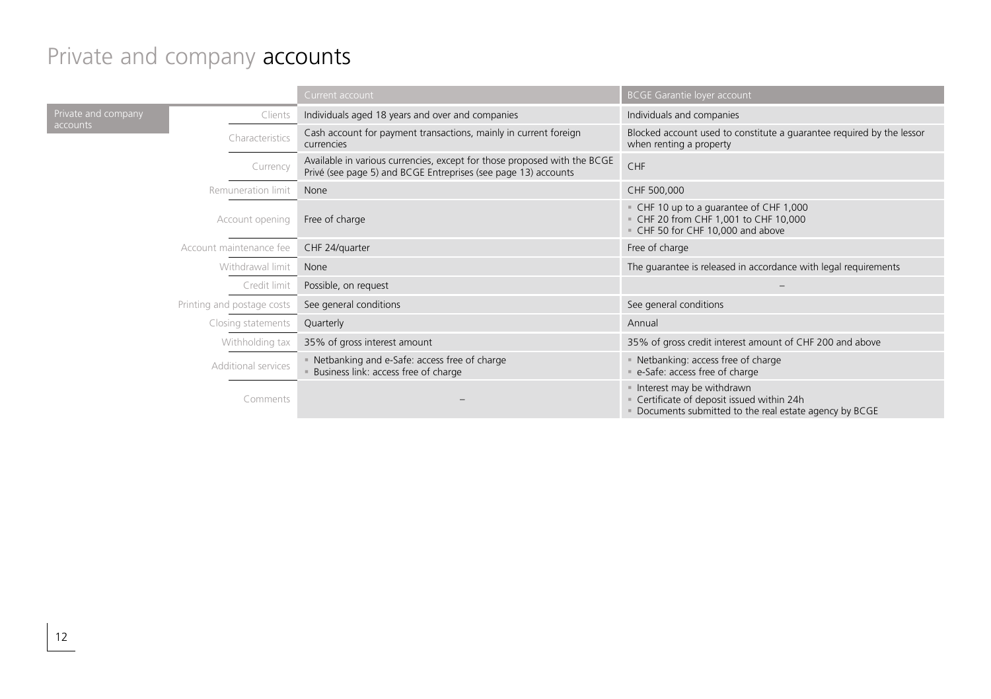# Private and company **accounts**

|                                            |                            | Current account                                                                                                                            | <b>BCGE Garantie loyer account</b>                                                                                             |
|--------------------------------------------|----------------------------|--------------------------------------------------------------------------------------------------------------------------------------------|--------------------------------------------------------------------------------------------------------------------------------|
| Private and company                        | Clients                    | Individuals aged 18 years and over and companies                                                                                           | Individuals and companies                                                                                                      |
| accounts                                   | Characteristics            | Cash account for payment transactions, mainly in current foreign<br>currencies                                                             | Blocked account used to constitute a guarantee required by the lessor<br>when renting a property                               |
|                                            | Currency                   | Available in various currencies, except for those proposed with the BCGE<br>Privé (see page 5) and BCGE Entreprises (see page 13) accounts | CHF                                                                                                                            |
|                                            | Remuneration limit         | None                                                                                                                                       | CHF 500,000                                                                                                                    |
| Account opening<br>Account maintenance fee |                            | Free of charge                                                                                                                             | CHF 10 up to a guarantee of CHF 1,000<br>- CHF 20 from CHF 1,001 to CHF 10,000<br>CHF 50 for CHF 10,000 and above              |
|                                            |                            | CHF 24/quarter                                                                                                                             | Free of charge                                                                                                                 |
|                                            | Withdrawal limit           | None                                                                                                                                       | The guarantee is released in accordance with legal requirements                                                                |
|                                            | Credit limit               | Possible, on request                                                                                                                       |                                                                                                                                |
|                                            | Printing and postage costs | See general conditions                                                                                                                     | See general conditions                                                                                                         |
|                                            | Closing statements         | Quarterly                                                                                                                                  | Annual                                                                                                                         |
|                                            | Withholding tax            | 35% of gross interest amount                                                                                                               | 35% of gross credit interest amount of CHF 200 and above                                                                       |
| Additional services<br>Comments            |                            | • Netbanking and e-Safe: access free of charge<br>Business link: access free of charge                                                     | Netbanking: access free of charge<br>e-Safe: access free of charge                                                             |
|                                            |                            |                                                                                                                                            | Interest may be withdrawn<br>Certificate of deposit issued within 24h<br>Documents submitted to the real estate agency by BCGE |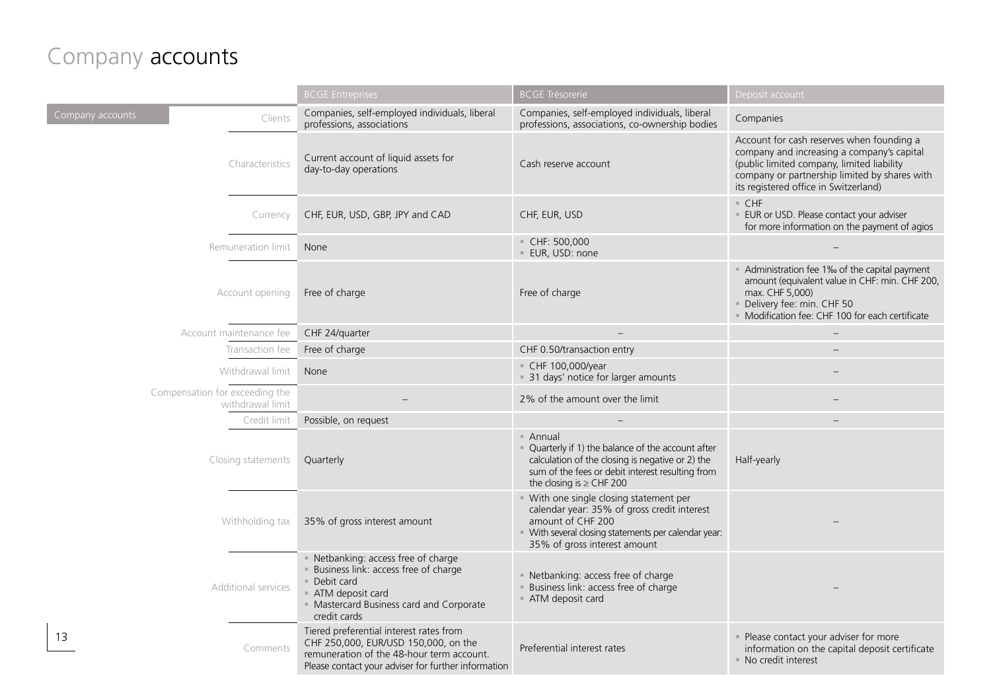#### Company accounts

|                                                    | <b>BCGE Entreprises</b>                                                                                                                                                             | <b>BCGE Trésorerie</b>                                                                                                                                                                                    | Deposit account                                                                                                                                                                                                                 |
|----------------------------------------------------|-------------------------------------------------------------------------------------------------------------------------------------------------------------------------------------|-----------------------------------------------------------------------------------------------------------------------------------------------------------------------------------------------------------|---------------------------------------------------------------------------------------------------------------------------------------------------------------------------------------------------------------------------------|
| Company accounts<br>Clients                        | Companies, self-employed individuals, liberal<br>professions, associations                                                                                                          | Companies, self-employed individuals, liberal<br>professions, associations, co-ownership bodies                                                                                                           | Companies                                                                                                                                                                                                                       |
| Characteristics                                    | Current account of liquid assets for<br>day-to-day operations                                                                                                                       | Cash reserve account                                                                                                                                                                                      | Account for cash reserves when founding a<br>company and increasing a company's capital<br>(public limited company, limited liability<br>company or partnership limited by shares with<br>its registered office in Switzerland) |
| Currency                                           | CHF, EUR, USD, GBP, JPY and CAD                                                                                                                                                     | CHF, EUR, USD                                                                                                                                                                                             | $=$ CHF<br>· EUR or USD. Please contact your adviser<br>for more information on the payment of agios                                                                                                                            |
| Remuneration limit                                 | None                                                                                                                                                                                | $\sqrt{C}$ CHF: 500,000<br>· EUR, USD: none                                                                                                                                                               |                                                                                                                                                                                                                                 |
| Account opening                                    | Free of charge                                                                                                                                                                      | Free of charge                                                                                                                                                                                            | Administration fee 1% of the capital payment<br>amount (equivalent value in CHF: min. CHF 200,<br>max. CHF 5,000)<br>Delivery fee: min. CHF 50<br>· Modification fee: CHF 100 for each certificate                              |
| Account maintenance fee                            | CHF 24/quarter                                                                                                                                                                      |                                                                                                                                                                                                           |                                                                                                                                                                                                                                 |
| Transaction fee                                    | Free of charge                                                                                                                                                                      | CHF 0.50/transaction entry                                                                                                                                                                                |                                                                                                                                                                                                                                 |
| Withdrawal limit                                   | None                                                                                                                                                                                | CHF 100,000/year<br>= 31 days' notice for larger amounts                                                                                                                                                  |                                                                                                                                                                                                                                 |
| Compensation for exceeding the<br>withdrawal limit |                                                                                                                                                                                     | 2% of the amount over the limit                                                                                                                                                                           |                                                                                                                                                                                                                                 |
| Credit limit                                       | Possible, on request                                                                                                                                                                |                                                                                                                                                                                                           |                                                                                                                                                                                                                                 |
| Closing statements                                 | Quarterly                                                                                                                                                                           | $=$ Annual<br>- Quarterly if 1) the balance of the account after<br>calculation of the closing is negative or 2) the<br>sum of the fees or debit interest resulting from<br>the closing is $\geq$ CHF 200 | Half-yearly                                                                                                                                                                                                                     |
| Withholding tax                                    | 35% of gross interest amount                                                                                                                                                        | · With one single closing statement per<br>calendar year: 35% of gross credit interest<br>amount of CHF 200<br>" With several closing statements per calendar year:<br>35% of gross interest amount       |                                                                                                                                                                                                                                 |
| Additional services                                | · Netbanking: access free of charge<br>Business link: access free of charge<br>Debit card<br>ATM deposit card<br>· Mastercard Business card and Corporate<br>credit cards           | · Netbanking: access free of charge<br>Business link: access free of charge<br>ATM deposit card                                                                                                           |                                                                                                                                                                                                                                 |
| 13<br>Comments                                     | Tiered preferential interest rates from<br>CHF 250,000, EUR/USD 150,000, on the<br>remuneration of the 48-hour term account.<br>Please contact your adviser for further information | Preferential interest rates                                                                                                                                                                               | · Please contact your adviser for more<br>information on the capital deposit certificate<br>· No credit interest                                                                                                                |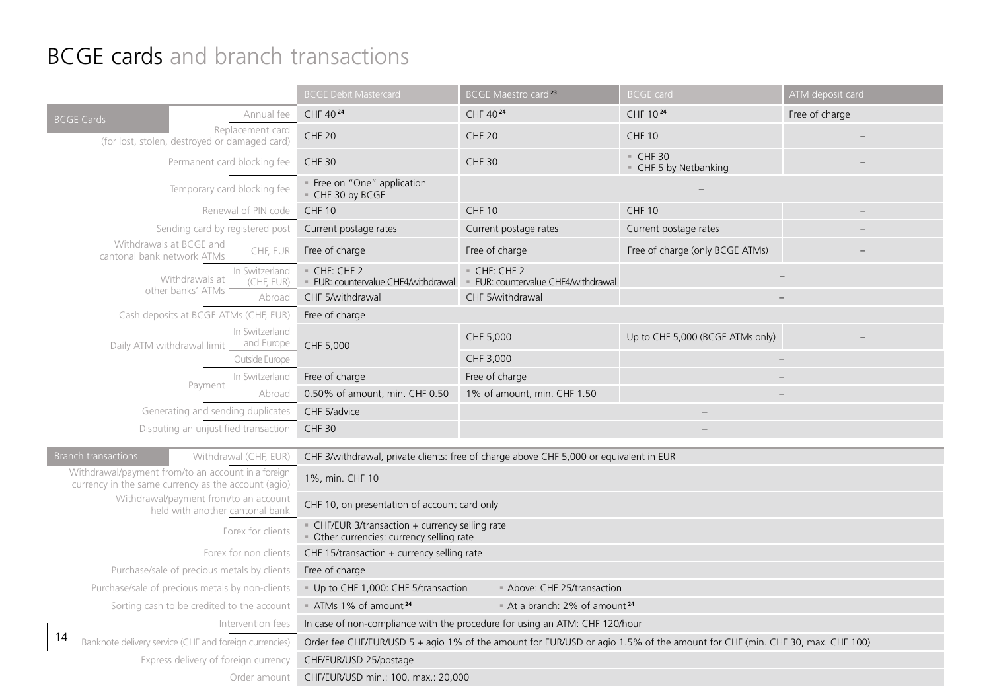#### **BCGE cards** and branch transactions

|                                                                                                           |                              | <b>BCGE Debit Mastercard</b>                                                                                               | BCGE Maestro card <sup>23</sup>                         | <b>BCGE card</b>                 | ATM deposit card |  |
|-----------------------------------------------------------------------------------------------------------|------------------------------|----------------------------------------------------------------------------------------------------------------------------|---------------------------------------------------------|----------------------------------|------------------|--|
| <b>BCGE Cards</b>                                                                                         | Annual fee                   | CHF 40 24                                                                                                                  | CHF 40 24                                               | CHF 1024                         | Free of charge   |  |
| (for lost, stolen, destroyed or damaged card)                                                             | Replacement card             | <b>CHF 20</b>                                                                                                              | <b>CHF 20</b>                                           | <b>CHF 10</b>                    |                  |  |
| Permanent card blocking fee                                                                               |                              | <b>CHF 30</b>                                                                                                              | CHF 30                                                  | CHF30<br>- CHF 5 by Netbanking   |                  |  |
|                                                                                                           | Temporary card blocking fee  | Free on "One" application<br>CHF 30 by BCGE                                                                                |                                                         |                                  |                  |  |
|                                                                                                           | Renewal of PIN code          | <b>CHF 10</b>                                                                                                              | <b>CHF 10</b>                                           | <b>CHF 10</b>                    |                  |  |
| Sending card by registered post                                                                           |                              | Current postage rates                                                                                                      | Current postage rates                                   | Current postage rates            |                  |  |
| Withdrawals at BCGE and<br>cantonal bank network ATMs                                                     | CHF, EUR                     | Free of charge                                                                                                             | Free of charge                                          | Free of charge (only BCGE ATMs)  |                  |  |
| Withdrawals at                                                                                            | In Switzerland<br>(CHE EUR)  | CHF: CHF 2<br>· EUR: countervalue CHF4/withdrawal                                                                          | CHF: CHF 2<br><b>EUR: countervalue CHF4/withdrawall</b> |                                  |                  |  |
| other banks' ATMs                                                                                         | Abroad                       | CHF 5/withdrawal                                                                                                           | CHF 5/withdrawal                                        |                                  |                  |  |
| Cash deposits at BCGE ATMs (CHF, EUR)                                                                     |                              | Free of charge                                                                                                             |                                                         |                                  |                  |  |
| Daily ATM withdrawal limit                                                                                | In Switzerland<br>and Europe | CHF 5,000                                                                                                                  | CHF 5,000                                               | Up to CHF 5,000 (BCGE ATMs only) |                  |  |
|                                                                                                           | Outside Europe               |                                                                                                                            | CHF 3,000                                               | $\qquad \qquad -$                |                  |  |
| Payment                                                                                                   | In Switzerland               | Free of charge                                                                                                             | Free of charge                                          |                                  |                  |  |
|                                                                                                           | Abroad                       | 0.50% of amount, min. CHF 0.50                                                                                             | 1% of amount, min. CHF 1.50                             |                                  |                  |  |
| Generating and sending duplicates                                                                         |                              | CHF 5/advice                                                                                                               |                                                         |                                  |                  |  |
| Disputing an unjustified transaction                                                                      |                              | CHF 30                                                                                                                     |                                                         |                                  |                  |  |
| <b>Branch transactions</b>                                                                                | Withdrawal (CHF, EUR)        | CHF 3/withdrawal, private clients: free of charge above CHF 5,000 or equivalent in EUR                                     |                                                         |                                  |                  |  |
| Withdrawal/payment from/to an account in a foreign<br>currency in the same currency as the account (agio) |                              | 1%, min. CHF 10                                                                                                            |                                                         |                                  |                  |  |
| Withdrawal/payment from/to an account<br>held with another cantonal bank                                  |                              | CHF 10, on presentation of account card only                                                                               |                                                         |                                  |                  |  |
| Forex for clients                                                                                         |                              | - CHF/EUR 3/transaction + currency selling rate<br>. Other currencies: currency selling rate                               |                                                         |                                  |                  |  |
| Forex for non clients                                                                                     |                              | CHF 15/transaction + currency selling rate                                                                                 |                                                         |                                  |                  |  |
| Purchase/sale of precious metals by clients                                                               |                              | Free of charge                                                                                                             |                                                         |                                  |                  |  |
| Purchase/sale of precious metals by non-clients                                                           |                              | - Above: CHF 25/transaction<br>Up to CHF 1,000: CHF 5/transaction                                                          |                                                         |                                  |                  |  |
| Sorting cash to be credited to the account                                                                |                              | ATMs 1% of amount <sup>24</sup><br>At a branch: 2% of amount <sup>24</sup>                                                 |                                                         |                                  |                  |  |
| Intervention fees                                                                                         |                              | In case of non-compliance with the procedure for using an ATM: CHF 120/hour                                                |                                                         |                                  |                  |  |
| Banknote delivery service (CHF and foreign currencies)                                                    |                              | Order fee CHF/EUR/USD 5 + agio 1% of the amount for EUR/USD or agio 1.5% of the amount for CHF (min. CHF 30, max. CHF 100) |                                                         |                                  |                  |  |
| Express delivery of foreign currency                                                                      |                              | CHF/EUR/USD 25/postage                                                                                                     |                                                         |                                  |                  |  |
| Order amount                                                                                              |                              | CHF/EUR/USD min.: 100, max.: 20,000                                                                                        |                                                         |                                  |                  |  |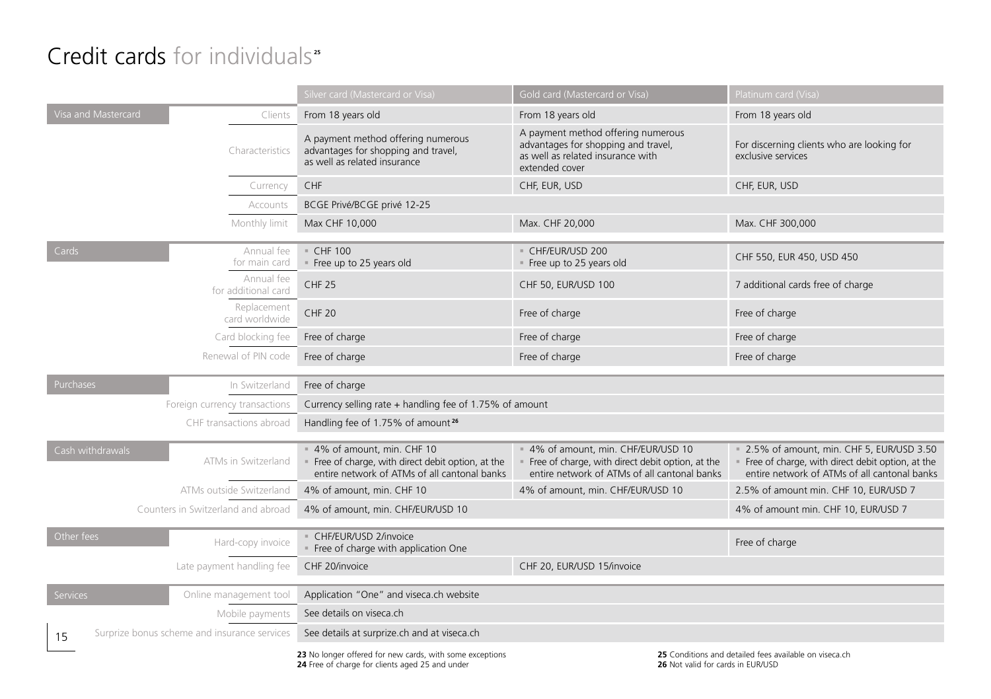#### Credit cards for individuals<sup>"</sup>

|                                                                                                             |                                              | Silver card (Mastercard or Visa)                                                                                                | Gold card (Mastercard or Visa)                                                                                                          | Platinum card (Visa)                                                                                                                         |  |  |
|-------------------------------------------------------------------------------------------------------------|----------------------------------------------|---------------------------------------------------------------------------------------------------------------------------------|-----------------------------------------------------------------------------------------------------------------------------------------|----------------------------------------------------------------------------------------------------------------------------------------------|--|--|
| Visa and Mastercard                                                                                         | Clients                                      | From 18 years old                                                                                                               | From 18 years old                                                                                                                       | From 18 years old                                                                                                                            |  |  |
|                                                                                                             | Characteristics                              | A payment method offering numerous<br>advantages for shopping and travel,<br>as well as related insurance                       | A payment method offering numerous<br>advantages for shopping and travel,<br>as well as related insurance with<br>extended cover        | For discerning clients who are looking for<br>exclusive services                                                                             |  |  |
|                                                                                                             | Currency                                     | CHF                                                                                                                             | CHF, EUR, USD                                                                                                                           | CHF, EUR, USD                                                                                                                                |  |  |
|                                                                                                             | Accounts                                     | BCGE Privé/BCGE privé 12-25                                                                                                     |                                                                                                                                         |                                                                                                                                              |  |  |
|                                                                                                             | Monthly limit                                | Max CHF 10,000<br>Max. CHF 20,000                                                                                               |                                                                                                                                         | Max. CHF 300,000                                                                                                                             |  |  |
| $\overline{C}$ ards                                                                                         | Annual fee<br>for main card                  | $=$ CHF 100<br>Free up to 25 years old                                                                                          | - CHF/EUR/USD 200<br>Free up to 25 years old                                                                                            | CHF 550, EUR 450, USD 450                                                                                                                    |  |  |
|                                                                                                             | Annual fee<br>for additional card            | CHF <sub>25</sub>                                                                                                               | CHF 50, EUR/USD 100                                                                                                                     | 7 additional cards free of charge                                                                                                            |  |  |
|                                                                                                             | Replacement<br>card worldwide                | <b>CHF 20</b>                                                                                                                   | Free of charge                                                                                                                          | Free of charge                                                                                                                               |  |  |
|                                                                                                             | Card blocking fee                            | Free of charge                                                                                                                  | Free of charge                                                                                                                          | Free of charge                                                                                                                               |  |  |
|                                                                                                             | Renewal of PIN code                          | Free of charge                                                                                                                  | Free of charge                                                                                                                          | Free of charge                                                                                                                               |  |  |
| Purchases                                                                                                   | In Switzerland                               | Free of charge                                                                                                                  |                                                                                                                                         |                                                                                                                                              |  |  |
|                                                                                                             | Foreign currency transactions                | Currency selling rate + handling fee of 1.75% of amount                                                                         |                                                                                                                                         |                                                                                                                                              |  |  |
|                                                                                                             | CHF transactions abroad                      | Handling fee of 1.75% of amount <sup>26</sup>                                                                                   |                                                                                                                                         |                                                                                                                                              |  |  |
| Cash withdrawals                                                                                            | ATMs in Switzerland                          | = 4% of amount, min. CHF 10<br>Free of charge, with direct debit option, at the<br>entire network of ATMs of all cantonal banks | = 4% of amount, min. CHF/EUR/USD 10<br>Free of charge, with direct debit option, at the<br>entire network of ATMs of all cantonal banks | 2.5% of amount, min. CHF 5, EUR/USD 3.50<br>Free of charge, with direct debit option, at the<br>entire network of ATMs of all cantonal banks |  |  |
|                                                                                                             | ATMs outside Switzerland                     | 4% of amount, min. CHF 10                                                                                                       | 4% of amount, min. CHF/EUR/USD 10                                                                                                       | 2.5% of amount min. CHF 10, EUR/USD 7                                                                                                        |  |  |
|                                                                                                             | Counters in Switzerland and abroad           | 4% of amount, min. CHF/EUR/USD 10                                                                                               |                                                                                                                                         | 4% of amount min. CHF 10, EUR/USD 7                                                                                                          |  |  |
| Other fees                                                                                                  | Hard-copy invoice                            | - CHF/EUR/USD 2/invoice<br>Free of charge with application One                                                                  |                                                                                                                                         | Free of charge                                                                                                                               |  |  |
|                                                                                                             | Late payment handling fee                    | CHF 20/invoice                                                                                                                  | CHF 20, EUR/USD 15/invoice                                                                                                              |                                                                                                                                              |  |  |
| <b>Services</b>                                                                                             | Online management tool                       | Application "One" and viseca.ch website                                                                                         |                                                                                                                                         |                                                                                                                                              |  |  |
|                                                                                                             | Mobile payments                              | See details on viseca.ch                                                                                                        |                                                                                                                                         |                                                                                                                                              |  |  |
| 15                                                                                                          | Surprize bonus scheme and insurance services | See details at surprize.ch and at viseca.ch                                                                                     |                                                                                                                                         |                                                                                                                                              |  |  |
| 23 No longer offered for new cards, with some exceptions<br>24 Free of charge for clients aged 25 and under |                                              |                                                                                                                                 | 26 Not valid for cards in EUR/USD                                                                                                       | 25 Conditions and detailed fees available on viseca.ch                                                                                       |  |  |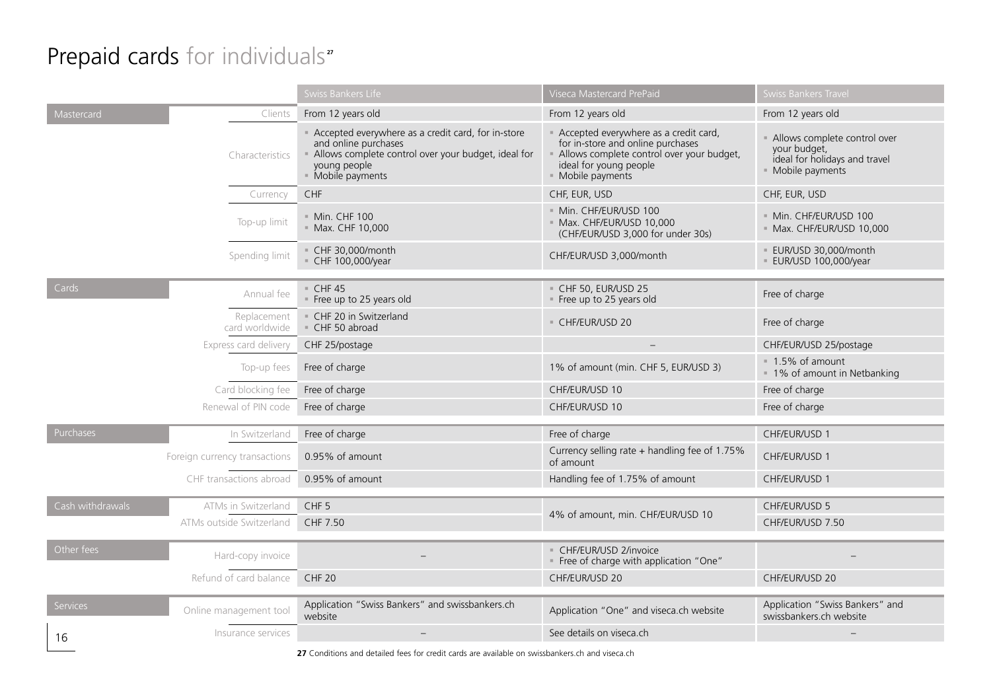#### Prepaid cards for individuals<sup>"</sup>

|                          |                               | Swiss Bankers Life                                                                                                                                                       | Viseca Mastercard PrePaid                                                                                                                                              | <b>Swiss Bankers Travel</b>                                                                      |
|--------------------------|-------------------------------|--------------------------------------------------------------------------------------------------------------------------------------------------------------------------|------------------------------------------------------------------------------------------------------------------------------------------------------------------------|--------------------------------------------------------------------------------------------------|
| Mastercard               | Clients                       | From 12 years old                                                                                                                                                        | From 12 years old                                                                                                                                                      | From 12 years old                                                                                |
|                          | Characteristics               | - Accepted everywhere as a credit card, for in-store<br>and online purchases<br>Allows complete control over your budget, ideal for<br>young people<br>- Mobile payments | - Accepted everywhere as a credit card,<br>for in-store and online purchases<br>Allows complete control over your budget,<br>ideal for young people<br>Mobile payments | Allows complete control over<br>your budget,<br>ideal for holidays and travel<br>Mobile payments |
|                          | Currency                      | CHF                                                                                                                                                                      | CHF, EUR, USD                                                                                                                                                          | CHF, EUR, USD                                                                                    |
|                          | Top-up limit                  | = Min. CHF 100<br>Max. CHF 10,000                                                                                                                                        | · Min. CHF/EUR/USD 100<br>Max. CHF/EUR/USD 10,000<br>(CHF/EUR/USD 3,000 for under 30s)                                                                                 | - Min. CHF/EUR/USD 100<br>- Max. CHF/EUR/USD 10,000                                              |
|                          | Spending limit                | - CHF 30,000/month<br>CHF 100,000/year                                                                                                                                   | CHF/EUR/USD 3,000/month                                                                                                                                                | · EUR/USD 30,000/month<br><b>EUR/USD 100,000/year</b>                                            |
| Cards                    | Annual fee                    | CHF45<br>Free up to 25 years old                                                                                                                                         | CHF 50, EUR/USD 25<br>Free up to 25 years old                                                                                                                          | Free of charge                                                                                   |
|                          | Replacement<br>card worldwide | CHF 20 in Switzerland<br>CHF 50 abroad                                                                                                                                   | CHF/EUR/USD 20                                                                                                                                                         | Free of charge                                                                                   |
|                          | Express card delivery         | CHF 25/postage                                                                                                                                                           |                                                                                                                                                                        | CHF/EUR/USD 25/postage                                                                           |
|                          | Top-up fees                   | Free of charge                                                                                                                                                           | 1% of amount (min. CHF 5, EUR/USD 3)                                                                                                                                   | = 1.5% of amount<br>= 1% of amount in Netbanking                                                 |
|                          | Card blocking fee             | Free of charge                                                                                                                                                           | CHF/EUR/USD 10                                                                                                                                                         | Free of charge                                                                                   |
|                          | Renewal of PIN code           | Free of charge                                                                                                                                                           | CHF/EUR/USD 10                                                                                                                                                         | Free of charge                                                                                   |
| Purchases                | In Switzerland                | Free of charge                                                                                                                                                           | Free of charge                                                                                                                                                         | CHF/EUR/USD 1                                                                                    |
|                          | Foreign currency transactions | 0.95% of amount                                                                                                                                                          | Currency selling rate + handling fee of 1.75%<br>of amount                                                                                                             | CHF/EUR/USD 1                                                                                    |
|                          | CHF transactions abroad       | 0.95% of amount                                                                                                                                                          | Handling fee of 1.75% of amount                                                                                                                                        | CHF/EUR/USD 1                                                                                    |
| Cash withdrawals         | ATMs in Switzerland           | CHF <sub>5</sub>                                                                                                                                                         |                                                                                                                                                                        | CHF/EUR/USD 5                                                                                    |
| ATMs outside Switzerland |                               | CHF 7.50                                                                                                                                                                 | 4% of amount, min. CHF/EUR/USD 10                                                                                                                                      | CHF/EUR/USD 7.50                                                                                 |
|                          |                               |                                                                                                                                                                          |                                                                                                                                                                        |                                                                                                  |
| Other fees               | Hard-copy invoice             |                                                                                                                                                                          | CHF/EUR/USD 2/invoice<br>" Free of charge with application "One"                                                                                                       |                                                                                                  |
|                          | Refund of card balance        | <b>CHF 20</b>                                                                                                                                                            | CHF/EUR/USD 20                                                                                                                                                         | CHF/EUR/USD 20                                                                                   |
| Services                 | Online management tool        | Application "Swiss Bankers" and swissbankers.ch<br>website                                                                                                               | Application "One" and viseca.ch website                                                                                                                                | Application "Swiss Bankers" and<br>swissbankers.ch website                                       |
| 16                       | Insurance services            |                                                                                                                                                                          | See details on viseca.ch                                                                                                                                               |                                                                                                  |
|                          |                               |                                                                                                                                                                          |                                                                                                                                                                        |                                                                                                  |

27 Conditions and detailed fees for credit cards are available on swissbankers.ch and viseca.ch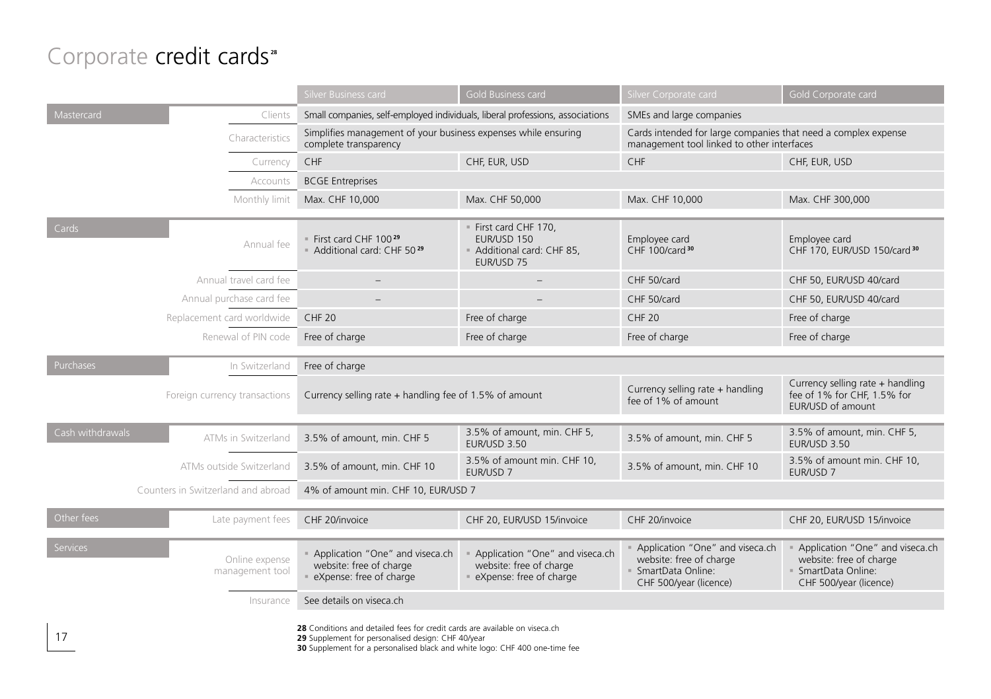#### Corporate credit cards<sup>28</sup>

|                                         |                                                                                                                                   | Silver Business card                                                                      | Gold Business card                                                                        | Silver Corporate card                                                                                        | Gold Corporate card                                                                                         |  |
|-----------------------------------------|-----------------------------------------------------------------------------------------------------------------------------------|-------------------------------------------------------------------------------------------|-------------------------------------------------------------------------------------------|--------------------------------------------------------------------------------------------------------------|-------------------------------------------------------------------------------------------------------------|--|
| Mastercard                              | Clients                                                                                                                           | Small companies, self-employed individuals, liberal professions, associations             |                                                                                           | SMEs and large companies                                                                                     |                                                                                                             |  |
|                                         | Characteristics                                                                                                                   | Simplifies management of your business expenses while ensuring<br>complete transparency   |                                                                                           | Cards intended for large companies that need a complex expense<br>management tool linked to other interfaces |                                                                                                             |  |
|                                         | Currency                                                                                                                          | CHF                                                                                       | CHF, EUR, USD                                                                             | CHF                                                                                                          | CHF, EUR, USD                                                                                               |  |
|                                         | Accounts                                                                                                                          | <b>BCGE Entreprises</b>                                                                   |                                                                                           |                                                                                                              |                                                                                                             |  |
|                                         | Monthly limit                                                                                                                     | Max. CHF 10,000                                                                           | Max. CHF 50,000                                                                           | Max. CHF 10,000                                                                                              | Max. CHF 300,000                                                                                            |  |
| Cards                                   | Annual fee                                                                                                                        | " First card CHF 100 <sup>29</sup><br>- Additional card: CHF 5029                         | First card CHF 170,<br>EUR/USD 150<br>Additional card: CHF 85,<br>EUR/USD 75              | Employee card<br>CHF 100/card 30                                                                             | Employee card<br>CHF 170, EUR/USD 150/card 30                                                               |  |
| Annual travel card fee                  |                                                                                                                                   |                                                                                           |                                                                                           | CHF 50/card                                                                                                  | CHF 50, EUR/USD 40/card                                                                                     |  |
| Annual purchase card fee                |                                                                                                                                   |                                                                                           |                                                                                           | CHF 50/card                                                                                                  | CHF 50, EUR/USD 40/card                                                                                     |  |
| Replacement card worldwide              |                                                                                                                                   | <b>CHF 20</b>                                                                             | Free of charge                                                                            | <b>CHF 20</b>                                                                                                | Free of charge                                                                                              |  |
| Renewal of PIN code                     |                                                                                                                                   | Free of charge                                                                            | Free of charge                                                                            | Free of charge                                                                                               | Free of charge                                                                                              |  |
| Purchases                               | In Switzerland                                                                                                                    | Free of charge                                                                            |                                                                                           |                                                                                                              |                                                                                                             |  |
| Foreign currency transactions           |                                                                                                                                   | Currency selling rate + handling fee of 1.5% of amount                                    |                                                                                           | Currency selling rate + handling<br>fee of 1% of amount                                                      | Currency selling rate + handling<br>fee of 1% for CHF, 1.5% for<br>EUR/USD of amount                        |  |
| Cash withdrawals<br>ATMs in Switzerland |                                                                                                                                   | 3.5% of amount, min. CHF 5                                                                | 3.5% of amount, min. CHF 5,<br>EUR/USD 3.50                                               | 3.5% of amount, min. CHF 5                                                                                   | 3.5% of amount, min. CHF 5,<br>EUR/USD 3.50                                                                 |  |
| ATMs outside Switzerland                |                                                                                                                                   | 3.5% of amount, min. CHF 10                                                               | 3.5% of amount min. CHF 10,<br>EUR/USD 7                                                  | 3.5% of amount, min. CHF 10                                                                                  | 3.5% of amount min. CHF 10,<br>EUR/USD 7                                                                    |  |
| Counters in Switzerland and abroad      |                                                                                                                                   | 4% of amount min. CHF 10, EUR/USD 7                                                       |                                                                                           |                                                                                                              |                                                                                                             |  |
| Other fees<br>Late payment fees         |                                                                                                                                   | CHF 20/invoice                                                                            | CHF 20, EUR/USD 15/invoice                                                                | CHF 20/invoice                                                                                               | CHF 20, EUR/USD 15/invoice                                                                                  |  |
| <b>Services</b><br>management tool      | Online expense                                                                                                                    | - Application "One" and viseca.ch<br>website: free of charge<br>· eXpense: free of charge | - Application "One" and viseca.ch<br>website: free of charge<br>· eXpense: free of charge | Application "One" and viseca.ch<br>website: free of charge<br>· SmartData Online:<br>CHF 500/year (licence)  | Application "One" and viseca.ch<br>website: free of charge<br>· SmartData Online:<br>CHF 500/year (licence) |  |
| See details on viseca.ch<br>Insurance   |                                                                                                                                   |                                                                                           |                                                                                           |                                                                                                              |                                                                                                             |  |
| 17                                      | 28 Conditions and detailed fees for credit cards are available on viseca.ch<br>29 Supplement for personalised design: CHF 40/year |                                                                                           |                                                                                           |                                                                                                              |                                                                                                             |  |

**30** Supplement for a personalised black and white logo: CHF 400 one-time fee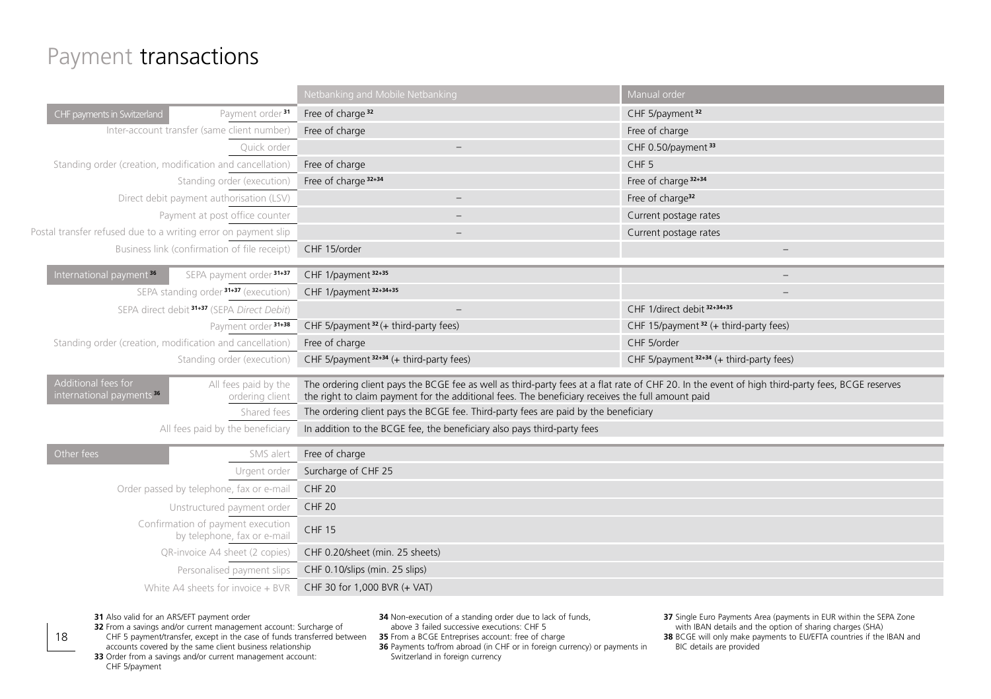#### Payment transactions

|                                                                                                        | Netbanking and Mobile Netbanking                                                                                                                                                                                                                      | Manual order                                      |  |  |
|--------------------------------------------------------------------------------------------------------|-------------------------------------------------------------------------------------------------------------------------------------------------------------------------------------------------------------------------------------------------------|---------------------------------------------------|--|--|
| CHF payments in Switzerland<br>Payment order <sup>31</sup>                                             | Free of charge <sup>32</sup>                                                                                                                                                                                                                          | CHF 5/payment <sup>32</sup>                       |  |  |
| Inter-account transfer (same client number)                                                            | Free of charge                                                                                                                                                                                                                                        | Free of charge                                    |  |  |
| Quick order                                                                                            | $\qquad \qquad -$                                                                                                                                                                                                                                     | CHF 0.50/payment <sup>33</sup>                    |  |  |
| Standing order (creation, modification and cancellation)                                               | Free of charge                                                                                                                                                                                                                                        | CHF <sub>5</sub>                                  |  |  |
| Standing order (execution)                                                                             | Free of charge 32+34                                                                                                                                                                                                                                  | Free of charge 32+34                              |  |  |
| Direct debit payment authorisation (LSV)                                                               | Free of charge <sup>32</sup><br>$\overline{\phantom{0}}$                                                                                                                                                                                              |                                                   |  |  |
| Payment at post office counter                                                                         |                                                                                                                                                                                                                                                       | Current postage rates                             |  |  |
| Postal transfer refused due to a writing error on payment slip                                         |                                                                                                                                                                                                                                                       | Current postage rates                             |  |  |
| Business link (confirmation of file receipt)                                                           | CHF 15/order                                                                                                                                                                                                                                          | $\overline{\phantom{a}}$                          |  |  |
| International payment <sup>36</sup><br>SEPA payment order 31+37                                        | CHF 1/payment 32+35                                                                                                                                                                                                                                   | $\qquad \qquad -$                                 |  |  |
| SEPA standing order <sup>31+37</sup> (execution)                                                       | CHF 1/payment 32+34+35                                                                                                                                                                                                                                |                                                   |  |  |
| SEPA direct debit <sup>31+37</sup> (SEPA Direct Debit)                                                 | $\qquad \qquad -$                                                                                                                                                                                                                                     | CHF 1/direct debit 32+34+35                       |  |  |
| Payment order 31+38                                                                                    | CHF 5/payment <sup>32</sup> (+ third-party fees)                                                                                                                                                                                                      | CHF 15/payment <sup>32</sup> (+ third-party fees) |  |  |
| Standing order (creation, modification and cancellation)                                               | Free of charge                                                                                                                                                                                                                                        | CHF 5/order                                       |  |  |
| Standing order (execution)                                                                             | CHF 5/payment 32+34 (+ third-party fees)                                                                                                                                                                                                              | CHF 5/payment 32+34 (+ third-party fees)          |  |  |
| Additional fees for<br>All fees paid by the<br>international payments <sup>36</sup><br>ordering client | The ordering client pays the BCGE fee as well as third-party fees at a flat rate of CHF 20. In the event of high third-party fees, BCGE reserves<br>the right to claim payment for the additional fees. The beneficiary receives the full amount paid |                                                   |  |  |
| Shared fees                                                                                            | The ordering client pays the BCGE fee. Third-party fees are paid by the beneficiary                                                                                                                                                                   |                                                   |  |  |
| All fees paid by the beneficiary                                                                       | In addition to the BCGE fee, the beneficiary also pays third-party fees                                                                                                                                                                               |                                                   |  |  |
|                                                                                                        |                                                                                                                                                                                                                                                       |                                                   |  |  |
| Other fees<br>SMS alert                                                                                | Free of charge                                                                                                                                                                                                                                        |                                                   |  |  |
| Urgent order                                                                                           | Surcharge of CHF 25                                                                                                                                                                                                                                   |                                                   |  |  |
| Order passed by telephone, fax or e-mail                                                               | <b>CHF 20</b>                                                                                                                                                                                                                                         |                                                   |  |  |
| Unstructured payment order                                                                             | <b>CHF 20</b>                                                                                                                                                                                                                                         |                                                   |  |  |
| Confirmation of payment execution<br>by telephone, fax or e-mail                                       | <b>CHF 15</b>                                                                                                                                                                                                                                         |                                                   |  |  |
| QR-invoice A4 sheet (2 copies)                                                                         | CHF 0.20/sheet (min. 25 sheets)                                                                                                                                                                                                                       |                                                   |  |  |
| Personalised payment slips                                                                             | CHF 0.10/slips (min. 25 slips)                                                                                                                                                                                                                        |                                                   |  |  |
| White A4 sheets for invoice + BVR                                                                      | CHF 30 for 1,000 BVR (+ VAT)                                                                                                                                                                                                                          |                                                   |  |  |
|                                                                                                        |                                                                                                                                                                                                                                                       |                                                   |  |  |

#### **31** Also valid for an ARS/EFT payment order

18

**32** From a savings and/or current management account: Surcharge of CHF 5 payment/transfer, except in the case of funds transferred between

**34** Non-execution of a standing order due to lack of funds, above 3 failed successive executions: CHF 5 **35** From a BCGE Entreprises account: free of charge

**36** Payments to/from abroad (in CHF or in foreign currency) or payments in Switzerland in foreign currency

**37** Single Euro Payments Area (payments in EUR within the SEPA Zone with IBAN details and the option of sharing charges (SHA)

**38** BCGE will only make payments to EU/EFTA countries if the IBAN and BIC details are provided

accounts covered by the same client business relationship **33** Order from a savings and/or current management account: CHF 5/payment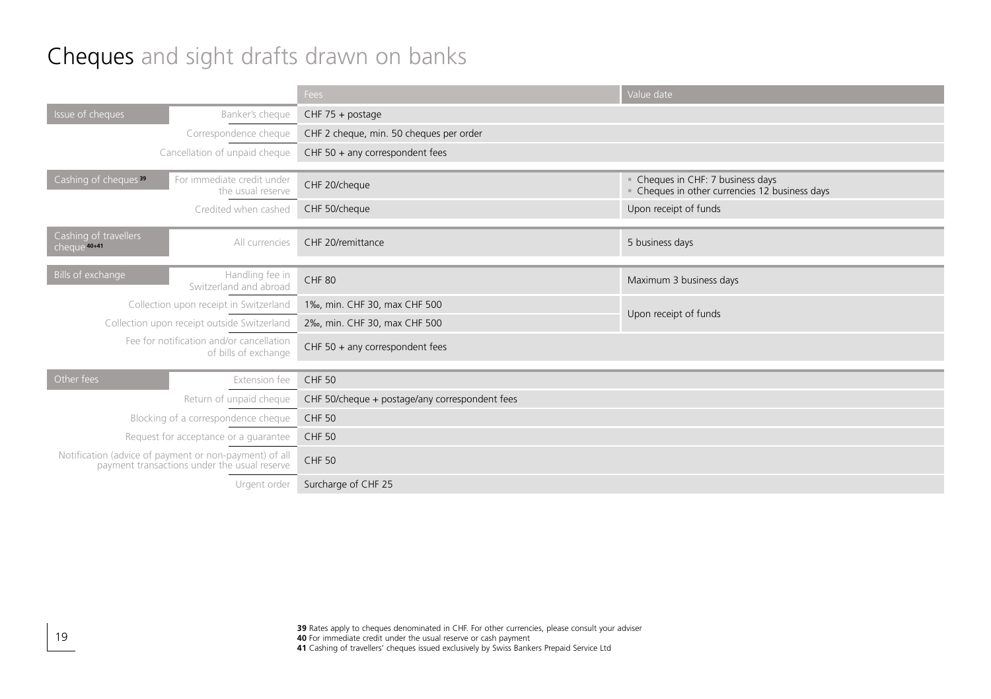#### Cheques and sight drafts drawn on banks

|                                                                                                        |                                                 | <b>Fees</b>                                    | Value date                                                                      |  |
|--------------------------------------------------------------------------------------------------------|-------------------------------------------------|------------------------------------------------|---------------------------------------------------------------------------------|--|
| Issue of cheques                                                                                       | Banker's cheque                                 | $CHF 75 + postage$                             |                                                                                 |  |
|                                                                                                        | Correspondence cheque                           | CHF 2 cheque, min. 50 cheques per order        |                                                                                 |  |
|                                                                                                        | Cancellation of unpaid cheque                   | CHF $50 + any correspondent fees$              |                                                                                 |  |
| Cashing of cheques <sup>39</sup>                                                                       | For immediate credit under<br>the usual reserve | CHF 20/cheque                                  | Cheques in CHF: 7 business days<br>Cheques in other currencies 12 business days |  |
|                                                                                                        | Credited when cashed                            | CHF 50/cheque                                  | Upon receipt of funds                                                           |  |
| Cashing of travellers<br>cheque <sup>40+41</sup>                                                       | All currencies                                  | CHF 20/remittance                              | 5 business days                                                                 |  |
| Bills of exchange                                                                                      | Handling fee in<br>Switzerland and abroad       | <b>CHF 80</b>                                  | Maximum 3 business days                                                         |  |
|                                                                                                        | Collection upon receipt in Switzerland          | 1‰, min. CHF 30, max CHF 500                   | Upon receipt of funds                                                           |  |
|                                                                                                        | Collection upon receipt outside Switzerland     | 2‰, min. CHF 30, max CHF 500                   |                                                                                 |  |
| Fee for notification and/or cancellation<br>of bills of exchange                                       |                                                 | CHF 50 + any correspondent fees                |                                                                                 |  |
| Other fees                                                                                             | Extension fee                                   | <b>CHF 50</b>                                  |                                                                                 |  |
| Return of unpaid cheque                                                                                |                                                 | CHF 50/cheque + postage/any correspondent fees |                                                                                 |  |
| Blocking of a correspondence cheque                                                                    |                                                 | <b>CHF 50</b>                                  |                                                                                 |  |
| Request for acceptance or a guarantee                                                                  |                                                 | <b>CHF 50</b>                                  |                                                                                 |  |
| Notification (advice of payment or non-payment) of all<br>payment transactions under the usual reserve |                                                 | <b>CHF 50</b>                                  |                                                                                 |  |
| Urgent order                                                                                           |                                                 | Surcharge of CHF 25                            |                                                                                 |  |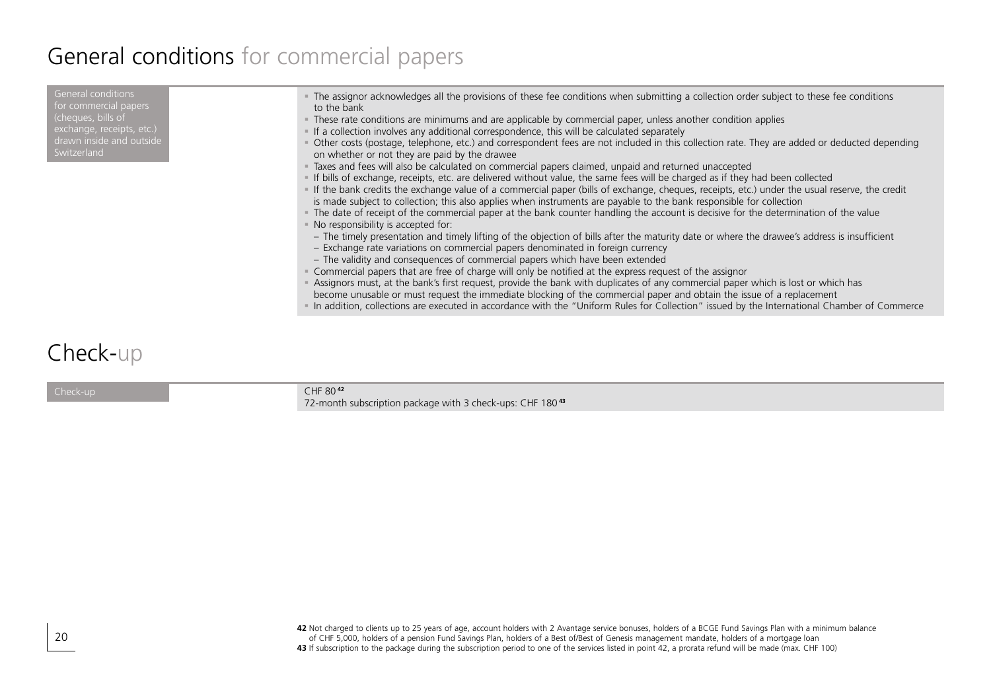#### General conditions for commercial papers

#### Check-up

CHF 80 **<sup>42</sup>** 72-month subscription package with 3 check-ups: CHF 180 **<sup>43</sup>**

42 Not charged to clients up to 25 years of age, account holders with 2 Avantage service bonuses, holders of a BCGE Fund Savings Plan with a minimum balance<br>of CHF 5,000, holders of a pension Fund Savings Plan, holders of **43** If subscription to the package during the subscription period to one of the services listed in point 42, a prorata refund will be made (max. CHF 100)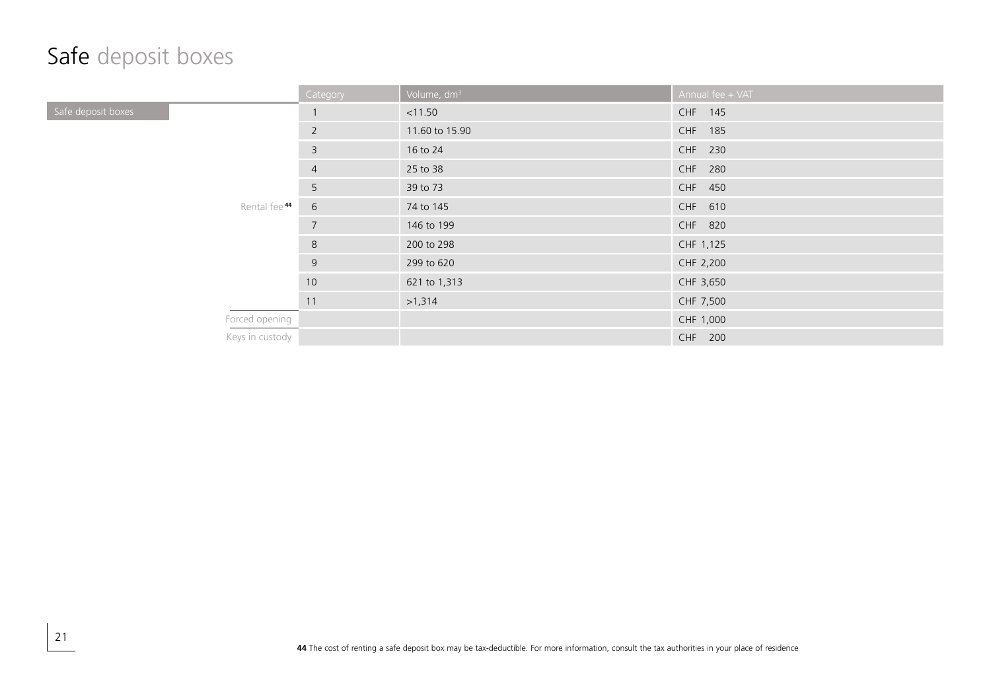#### Safe deposit boxes

|                    | Category                      | Volume, dm <sup>3</sup> | Annual fee + VAT |
|--------------------|-------------------------------|-------------------------|------------------|
| Safe deposit boxes | $\mathbf{1}$                  | < 11.50                 | CHF 145          |
|                    | $\overline{2}$                | 11.60 to 15.90          | CHF 185          |
|                    | $\overline{3}$                | 16 to 24                | CHF 230          |
|                    | $\overline{4}$                | 25 to 38                | CHF 280          |
|                    | 5                             | 39 to 73                | CHF 450          |
|                    | Rental fee <sup>44</sup><br>6 | 74 to 145               | CHF 610          |
|                    | $7\overline{ }$               | 146 to 199              | CHF 820          |
|                    | 8                             | 200 to 298              | CHF 1,125        |
|                    | 9                             | 299 to 620              | CHF 2,200        |
|                    | 10                            | 621 to 1,313            | CHF 3,650        |
|                    | 11                            | >1,314                  | CHF 7,500        |
| Forced opening     |                               |                         | CHF 1,000        |
| Keys in custody    |                               |                         | CHF 200          |